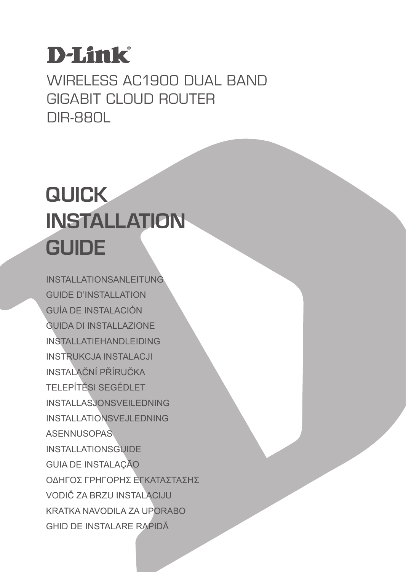## **D-Link**

WIRELESS AC1900 DUAL BAND Gigabit Cloud Router DIR-880L

## **QUICK INSTALLATION GUIDE**

INSTALLATIONSANLEITUNG GUIDE D'INSTALLATION GUÍA DE INSTALACIÓN GUIDA DI INSTALLAZIONE INSTALLATIEHANDLEIDING INSTRUKCJA INSTALACJI INSTALAČNÍ PŘÍRUČKA TELEPÍTÉSI SEGÉDLET INSTALLASJONSVEILEDNING INSTALLATIONSVEJLEDNING ASENNUSOPAS INSTALLATIONSGUIDE GUIA DE INSTALAÇÃO ΟΔΗΓΟΣ ΓΡΗΓΟΡΗΣ ΕΓΚΑΤΑΣΤΑΣΗΣ VODIČ ZA BRZU INSTALACIJU KRATKA NAVODILA ZA UPORABO GHID DE INSTALARE RAPIDĂ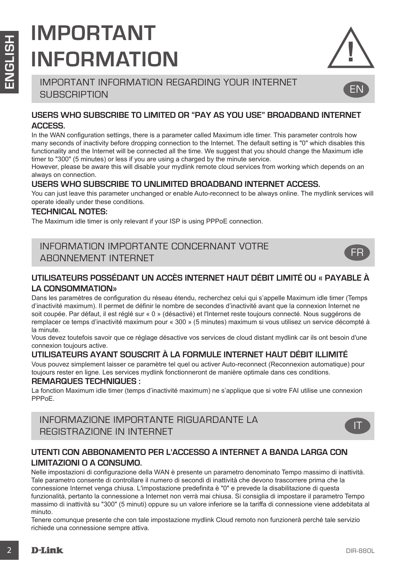## **IMPORTANT INFORMATION**



EN

IMPORTANT INFORMATION REGARDING YOUR INTERNET **SUBSCRIPTION** 

#### **USERS WHO SUBSCRIBE TO LIMITED OR "PAY AS YOU USE" BROADBAND INTERNET ACCESS.**

In the WAN configuration settings, there is a parameter called Maximum idle timer. This parameter controls how many seconds of inactivity before dropping connection to the Internet. The default setting is "0" which disables this functionality and the Internet will be connected all the time. We suggest that you should change the Maximum idle timer to "300" (5 minutes) or less if you are using a charged by the minute service.

However, please be aware this will disable your mydlink remote cloud services from working which depends on an always on connection.

#### **USERS WHO SUBSCRIBE TO UNLIMITED BROADBAND INTERNET ACCESS.**

You can just leave this parameter unchanged or enable Auto-reconnect to be always online. The mydlink services will operate ideally under these conditions.

#### **TECHNICAL NOTES:**

The Maximum idle timer is only relevant if your ISP is using PPPoE connection.

#### INFORMATION IMPORTANTE CONCERNANT VOTRE ABONNEMENT INTERNET



#### **UTILISATEURS POSSÉDANT UN ACCÈS INTERNET HAUT DÉBIT LIMITÉ OU « PAYABLE À LA CONSOMMATION»**

Dans les paramètres de configuration du réseau étendu, recherchez celui qui s'appelle Maximum idle timer (Temps d'inactivité maximum). Il permet de définir le nombre de secondes d'inactivité avant que la connexion Internet ne soit coupée. Par défaut, il est réglé sur « 0 » (désactivé) et l'Internet reste toujours connecté. Nous suggérons de remplacer ce temps d'inactivité maximum pour « 300 » (5 minutes) maximum si vous utilisez un service décompté à la minute.

Vous devez toutefois savoir que ce réglage désactive vos services de cloud distant mydlink car ils ont besoin d'une connexion toujours active.

#### **UTILISATEURS AYANT SOUSCRIT À LA FORMULE INTERNET HAUT DÉBIT ILLIMITÉ**

Vous pouvez simplement laisser ce paramètre tel quel ou activer Auto-reconnect (Reconnexion automatique) pour toujours rester en ligne. Les services mydlink fonctionneront de manière optimale dans ces conditions.

#### **REMARQUES TECHNIQUES :**

La fonction Maximum idle timer (temps d'inactivité maximum) ne s'applique que si votre FAI utilise une connexion PPPoE.

INFORMAZIONE IMPORTANTE RIGUARDANTE LA REGISTRAZIONE IN INTERNET



#### **UTENTI CON ABBONAMENTO PER L'ACCESSO A INTERNET A BANDA LARGA CON LIMITAZIONI O A CONSUMO.**

**EXAMPLE ASSESS THE MANUEL CONFIDENCE CONFIDENCE CONFIDENCE CONFIDENCE CONFIDENCE CONFIDENCE CONFIDENCE CONFIDENCE CONFIDENCE CONFIDENCE CONFIDENCE CONFIDENCE CONFIDENCE CONFIDENCE CONFIDENCE CONFIDENCE CONFIDENCE CONFIDEN** Nelle impostazioni di configurazione della WAN è presente un parametro denominato Tempo massimo di inattività. Tale parametro consente di controllare il numero di secondi di inattività che devono trascorrere prima che la connessione Internet venga chiusa. L'impostazione predefinita è "0" e prevede la disabilitazione di questa funzionalità, pertanto la connessione a Internet non verrà mai chiusa. Si consiglia di impostare il parametro Tempo massimo di inattività su "300" (5 minuti) oppure su un valore inferiore se la tariffa di connessione viene addebitata al minuto.

Tenere comunque presente che con tale impostazione mydlink Cloud remoto non funzionerà perché tale servizio richiede una connessione sempre attiva.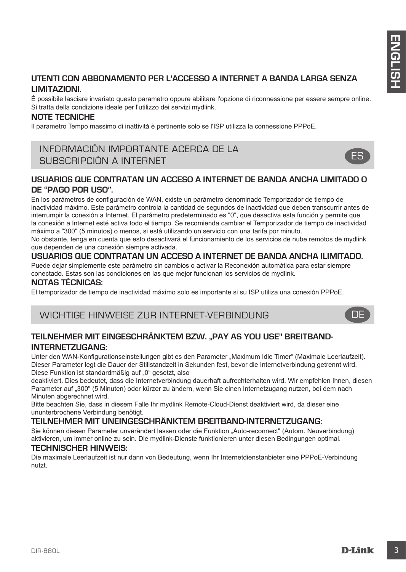#### **UTENTI CON ABBONAMENTO PER L'ACCESSO A INTERNET A BANDA LARGA SENZA LIMITAZIONI.**

È possibile lasciare invariato questo parametro oppure abilitare l'opzione di riconnessione per essere sempre online. Si tratta della condizione ideale per l'utilizzo dei servizi mydlink.

#### **NOTE TECNICHE**

Il parametro Tempo massimo di inattività è pertinente solo se l'ISP utilizza la connessione PPPoE.

### INFORMACIÓN IMPORTANTE ACERCA DE LA SUBSCRIPCIÓN A INTERNET



#### **USUARIOS QUE CONTRATAN UN ACCESO A INTERNET DE BANDA ANCHA LIMITADO O DE "PAGO POR USO".**

UTENTI CON ABBONAMENTO PER L'ACCESSO A INTERNET A BANDA LARGA SENZA<br>
L'AMIZZONI.<br>
E posible lastere horavite questo paramete opera salitare reporte el roconesciene per essen sampre eliter<br>
la posible lastere here internet En los parámetros de configuración de WAN, existe un parámetro denominado Temporizador de tiempo de inactividad máximo. Este parámetro controla la cantidad de segundos de inactividad que deben transcurrir antes de interrumpir la conexión a Internet. El parámetro predeterminado es "0", que desactiva esta función y permite que la conexión a Internet esté activa todo el tiempo. Se recomienda cambiar el Temporizador de tiempo de inactividad máximo a "300" (5 minutos) o menos, si está utilizando un servicio con una tarifa por minuto.

No obstante, tenga en cuenta que esto desactivará el funcionamiento de los servicios de nube remotos de mydlink que dependen de una conexión siempre activada.

#### **USUARIOS QUE CONTRATAN UN ACCESO A INTERNET DE BANDA ANCHA ILIMITADO.**

Puede dejar simplemente este parámetro sin cambios o activar la Reconexión automática para estar siempre conectado. Estas son las condiciones en las que mejor funcionan los servicios de mydlink.

#### **NOTAS TÉCNICAS:**

El temporizador de tiempo de inactividad máximo solo es importante si su ISP utiliza una conexión PPPoE.

#### WICHTIGE HINWEISE ZUR INTERNET-VERBINDUNG

#### **TEILNEHMER MIT EINGESCHRÄNKTEM BZW. "PAY AS YOU USE" BREITBAND-INTERNETZUGANG:**

Unter den WAN-Konfigurationseinstellungen gibt es den Parameter "Maximum Idle Timer" (Maximale Leerlaufzeit). Dieser Parameter legt die Dauer der Stillstandzeit in Sekunden fest, bevor die Internetverbindung getrennt wird. Diese Funktion ist standardmäßig auf "0" gesetzt, also

deaktiviert. Dies bedeutet, dass die Internetverbindung dauerhaft aufrechterhalten wird. Wir empfehlen Ihnen, diesen Parameter auf "300" (5 Minuten) oder kürzer zu ändern, wenn Sie einen Internetzugang nutzen, bei dem nach Minuten abgerechnet wird.

Bitte beachten Sie, dass in diesem Falle Ihr mydlink Remote-Cloud-Dienst deaktiviert wird, da dieser eine ununterbrochene Verbindung benötigt.

#### **TEILNEHMER MIT UNEINGESCHRÄNKTEM BREITBAND-INTERNETZUGANG:**

Sie können diesen Parameter unverändert lassen oder die Funktion "Auto-reconnect" (Autom. Neuverbindung) aktivieren, um immer online zu sein. Die mydlink-Dienste funktionieren unter diesen Bedingungen optimal.

#### **TECHNISCHER HINWEIS:**

Die maximale Leerlaufzeit ist nur dann von Bedeutung, wenn Ihr Internetdienstanbieter eine PPPoE-Verbindung nutzt.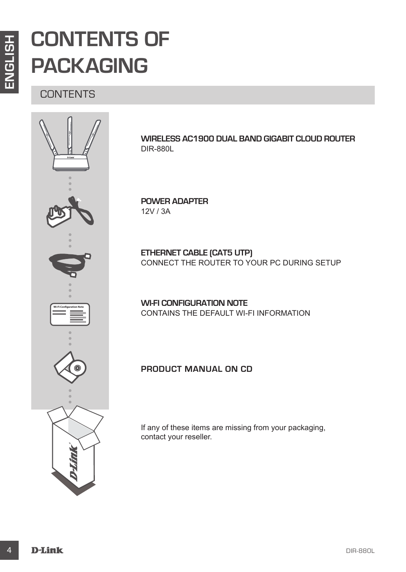## **CONTENTS OF PACKAGING**

**CONTENTS** 



**Wireless AC1900 Dual Band Gigabit Cloud Router** DIR-880L

**POWER ADAPTER** 12V / 3A

**ETHERNET CABLE (CAT5 UTP)** CONNECT THE ROUTER TO YOUR PC DURING SETUP

**WI-FI CONFIGURATION NOTE** CONTAINS THE DEFAULT WI-FI INFORMATION

**Product Manual on CD**

If any of these items are missing from your packaging, contact your reseller.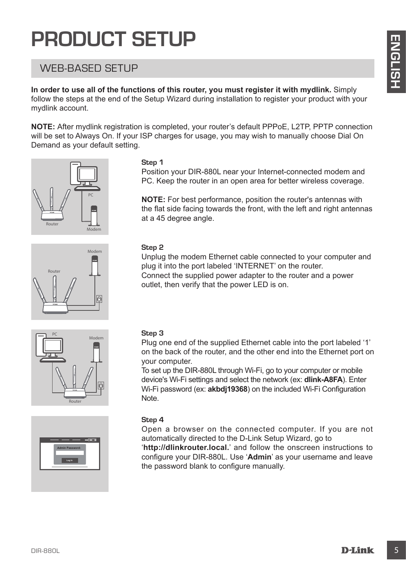## **PRODUCT SETUP**

## WEB-BASED SETUP

**In order to use all of the functions of this router, you must register it with mydlink.** Simply follow the steps at the end of the Setup Wizard during installation to register your product with your mydlink account.

**PHODUCE ISETUP**<br>
WEEB-BASED SETUP<br>
In order to use all of the functions of this roder, you must register it with mydlink. Simply<br>
mydim about the setup Wizard during installation to register with mydlink. Simply<br>
Notice t **NOTE:** After mydlink registration is completed, your router's default PPPoE, L2TP, PPTP connection will be set to Always On. If your ISP charges for usage, you may wish to manually choose Dial On Demand as your default setting.









#### **Step 1**

Position your DIR-880L near your Internet-connected modem and PC. Keep the router in an open area for better wireless coverage.

**NOTE:** For best performance, position the router's antennas with the flat side facing towards the front, with the left and right antennas at a 45 degree angle.

#### **Step 2**

Unplug the modem Ethernet cable connected to your computer and plug it into the port labeled 'INTERNET' on the router. Connect the supplied power adapter to the router and a power outlet, then verify that the power LED is on.

#### **Step 3**

Plug one end of the supplied Ethernet cable into the port labeled '1' on the back of the router, and the other end into the Ethernet port on your computer.

To set up the DIR-880L through Wi-Fi, go to your computer or mobile device's Wi-Fi settings and select the network (ex: **dlink-A8FA**). Enter Wi-Fi password (ex: **akbdj19368**) on the included Wi-Fi Configuration Note.

#### **Step 4**

Open a browser on the connected computer. If you are not automatically directed to the D-Link Setup Wizard, go to

'**http://dlinkrouter.local.**' and follow the onscreen instructions to configure your DIR-880L. Use '**Admin**' as your username and leave the password blank to configure manually.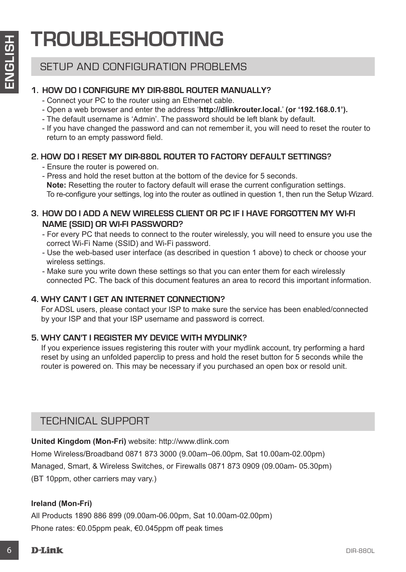## **TROUBLESHOOTING**

### SETUP AND CONFIGURATION PROBLEMS

#### **1. HOW DO I CONFIGURE MY DIR-880L ROUTER Manually?**

- Connect your PC to the router using an Ethernet cable.
- Open a web browser and enter the address '**http://dlinkrouter.local.**' **(or '192.168.0.1').**
- The default username is 'Admin'. The password should be left blank by default.
- If you have changed the password and can not remember it, you will need to reset the router to return to an empty password field.

#### **2. HOW DO I RESET MY DIR-880L ROUTER TO FACTORY DEFAULT SETTINGS?**

- Ensure the router is powered on.
- Press and hold the reset button at the bottom of the device for 5 seconds. **Note:** Resetting the router to factory default will erase the current configuration settings. To re-configure your settings, log into the router as outlined in question 1, then run the Setup Wizard.
- **3. HOW DO I ADD A NEW WIRELESS CLIENT OR PC IF I HAVE FORGOTTEN MY WI-FI NAME (SSID) OR WI-FI PASSWORD?**
	- For every PC that needs to connect to the router wirelessly, you will need to ensure you use the correct Wi-Fi Name (SSID) and Wi-Fi password.
	- Use the web-based user interface (as described in question 1 above) to check or choose your wireless settings.
	- Make sure you write down these settings so that you can enter them for each wirelessly connected PC. The back of this document features an area to record this important information.

#### **4. WHY CAN'T I GET AN INTERNET CONNECTION?**

For ADSL users, please contact your ISP to make sure the service has been enabled/connected by your ISP and that your ISP username and password is correct.

#### **5. WHY CAN'T I REGISTER MY DEVICE WITH MYDLINK?**

If you experience issues registering this router with your mydlink account, try performing a hard reset by using an unfolded paperclip to press and hold the reset button for 5 seconds while the router is powered on. This may be necessary if you purchased an open box or resold unit.

### TECHNICAL SUPPORT

**United Kingdom (Mon-Fri)** website: http://www.dlink.com

**EXECTIVE AND CONFIGURATION PRODELEMS**<br>
SETUP AND CONFIGURATION PRODELEMS<br>
SETUP AND CONFIGURATION PRODELEMS<br>
Connel your PC to the noder using an Efferent cable.<br>
Connel your PC to the noder using an Efferent cable.<br>
The Home Wireless/Broadband 0871 873 3000 (9.00am–06.00pm, Sat 10.00am-02.00pm) Managed, Smart, & Wireless Switches, or Firewalls 0871 873 0909 (09.00am- 05.30pm) (BT 10ppm, other carriers may vary.)

#### **Ireland (Mon-Fri)**

All Products 1890 886 899 (09.00am-06.00pm, Sat 10.00am-02.00pm) Phone rates: €0.05ppm peak, €0.045ppm off peak times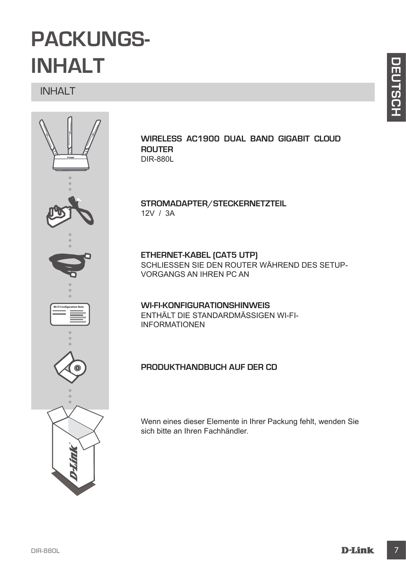## **PACKUNGS-INHALT**

INHALT



#### **Wireless AC1900 Dual Band Gigabit Cloud Router**  DIR-880L

#### **STROMADAPTER/STECKERNETZTEIL** 12V / 3A

**ETHERNET-KABEL (CAT5 UTP)** SCHLIESSEN SIE DEN ROUTER WÄHREND DES SETUP-VORGANGS AN IHREN PC AN

#### **WI-FI-KONFIGURATIONSHINWEIS** ENTHÄLT DIE STANDARDMÄSSIGEN WI-FI-INFORMATIONEN

### **Produkthandbuch auf der CD**

Wenn eines dieser Elemente in Ihrer Packung fehlt, wenden Sie sich bitte an Ihren Fachhändler.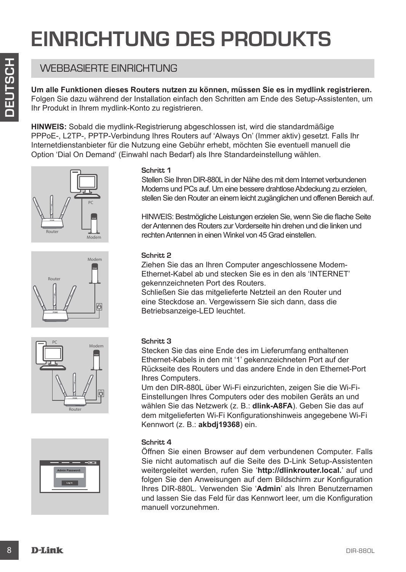## **EINRICHTUNG DES PRODUKTS**

## WEBBASIERTE FINRICHTUNG

**Um alle Funktionen dieses Routers nutzen zu können, müssen Sie es in mydlink registrieren.**  Folgen Sie dazu während der Installation einfach den Schritten am Ende des Setup-Assistenten, um Ihr Produkt in Ihrem mydlink-Konto zu registrieren.

**HINWEIS:** Sobald die mydlink-Registrierung abgeschlossen ist, wird die standardmäßige PPPoE-, L2TP-, PPTP-Verbindung Ihres Routers auf 'Always On' (Immer aktiv) gesetzt. Falls Ihr Internetdienstanbieter für die Nutzung eine Gebühr erhebt, möchten Sie eventuell manuell die Option 'Dial On Demand' (Einwahl nach Bedarf) als Ihre Standardeinstellung wählen.









#### **Schritt 1**

Stellen Sie Ihren DIR-880L in der Nähe des mit dem Internet verbundenen Modems und PCs auf. Um eine bessere drahtlose Abdeckung zu erzielen, stellen Sie den Router an einem leicht zugänglichen und offenen Bereich auf.

HINWEIS: Bestmögliche Leistungen erzielen Sie, wenn Sie die flache Seite der Antennen des Routers zur Vorderseite hin drehen und die linken und rechten Antennen in einen Winkel von 45 Grad einstellen.

#### **Schritt 2**

Ziehen Sie das an Ihren Computer angeschlossene Modem-Ethernet-Kabel ab und stecken Sie es in den als 'INTERNET' gekennzeichneten Port des Routers.

Schließen Sie das mitgelieferte Netzteil an den Router und eine Steckdose an. Vergewissern Sie sich dann, dass die Betriebsanzeige-LED leuchtet.

#### **Schritt 3**

Stecken Sie das eine Ende des im Lieferumfang enthaltenen Ethernet-Kabels in den mit '1' gekennzeichneten Port auf der Rückseite des Routers und das andere Ende in den Ethernet-Port Ihres Computers.

Um den DIR-880L über Wi-Fi einzurichten, zeigen Sie die Wi-Fi-Einstellungen Ihres Computers oder des mobilen Geräts an und wählen Sie das Netzwerk (z. B.: **dlink-A8FA**). Geben Sie das auf dem mitgelieferten Wi-Fi Konfigurationshinweis angegebene Wi-Fi Kennwort (z. B.: **akbdj19368**) ein.

#### **Schritt 4**

**EXERENT ENVIRONT UNIXE**<br>
To consider a the content of the content of the content of the content of the content of the content of the content of the content of the state of the content of the content of the content of the Öffnen Sie einen Browser auf dem verbundenen Computer. Falls Sie nicht automatisch auf die Seite des D-Link Setup-Assistenten weitergeleitet werden, rufen Sie '**http://dlinkrouter.local.**' auf und folgen Sie den Anweisungen auf dem Bildschirm zur Konfiguration Ihres DIR-880L. Verwenden Sie '**Admin**' als Ihren Benutzernamen und lassen Sie das Feld für das Kennwort leer, um die Konfiguration manuell vorzunehmen.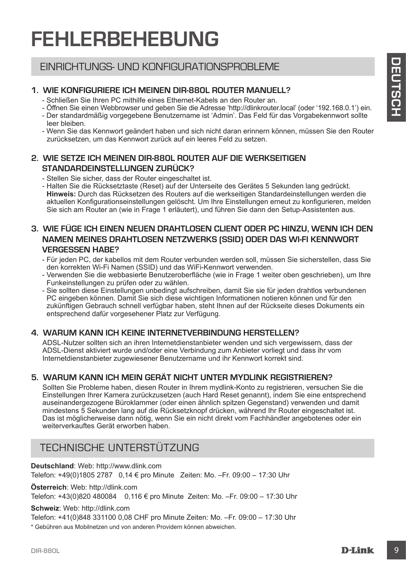## **FEHLERBEHEBUNG**

### EINRICHTUNGS- UND KONFIGURATIONSPROBLEME

#### **1. WIE KONFIGURIERE ICH MEINEN DIR-880L ROUTER manuell?**

- Schließen Sie Ihren PC mithilfe eines Ethernet-Kabels an den Router an.
- Öffnen Sie einen Webbrowser und geben Sie die Adresse 'http://dlinkrouter.local' (oder '192.168.0.1') ein.
- Der standardmäßig vorgegebene Benutzername ist 'Admin'. Das Feld für das Vorgabekennwort sollte leer bleiben.
- Wenn Sie das Kennwort geändert haben und sich nicht daran erinnern können, müssen Sie den Router zurücksetzen, um das Kennwort zurück auf ein leeres Feld zu setzen.

#### **2. WIE SETZE ICH MEINEN DIR-880L ROUTER AUF DIE WERKSEITIGEN STANDARDEINSTELLUNGEN ZURÜCK?**

- Stellen Sie sicher, dass der Router eingeschaltet ist.

- Halten Sie die Rücksetztaste (Reset) auf der Unterseite des Gerätes 5 Sekunden lang gedrückt. **Hinweis:** Durch das Rücksetzen des Routers auf die werkseitigen Standardeinstellungen werden die aktuellen Konfigurationseinstellungen gelöscht. Um Ihre Einstellungen erneut zu konfigurieren, melden Sie sich am Router an (wie in Frage 1 erläutert), und führen Sie dann den Setup-Assistenten aus.

#### **3. WIE FÜGE ICH EINEN NEUEN DRAHTLOSEN CLIENT ODER PC HINZU, WENN ICH DEN NAMEN MEINES DRAHTLOSEN NETZWERKS (SSID) ODER DAS WI-FI KENNWORT VERGESSEN HABE?**

- Für jeden PC, der kabellos mit dem Router verbunden werden soll, müssen Sie sicherstellen, dass Sie den korrekten Wi-Fi Namen (SSID) und das WiFi-Kennwort verwenden.
- Verwenden Sie die webbasierte Benutzeroberfläche (wie in Frage 1 weiter oben geschrieben), um Ihre Funkeinstellungen zu prüfen oder zu wählen.
- Sie sollten diese Einstellungen unbedingt aufschreiben, damit Sie sie für jeden drahtlos verbundenen PC eingeben können. Damit Sie sich diese wichtigen Informationen notieren können und für den zukünftigen Gebrauch schnell verfügbar haben, steht Ihnen auf der Rückseite dieses Dokuments ein entsprechend dafür vorgesehener Platz zur Verfügung.

#### **4. WARUM KANN ICH KEINE INTERNETVERBINDUNG HERSTELLEN?**

ADSL-Nutzer sollten sich an ihren Internetdienstanbieter wenden und sich vergewissern, dass der ADSL-Dienst aktiviert wurde und/oder eine Verbindung zum Anbieter vorliegt und dass ihr vom Internetdienstanbieter zugewiesener Benutzername und ihr Kennwort korrekt sind.

#### **5. WARUM KANN ICH MEIN GERÄT NICHT UNTER MYDLINK REGISTRIEREN?**

EINARD CHATURES UND KONFIGURATIONSPROBLEME<br>
SAMUELLY A WE KONFIGURE CHAMBION DIREGATIONSPROBLEME<br>
SAMELEN SE WHO RECORD TO THE MANUELLY AND CHAMBION CONFIGURE CHAMBION CONTINUES.<br>
SAMELEN SE WHO RECORD TO THE MANUEL CHAMBI Sollten Sie Probleme haben, diesen Router in Ihrem mydlink-Konto zu registrieren, versuchen Sie die Einstellungen Ihrer Kamera zurückzusetzen (auch Hard Reset genannt), indem Sie eine entsprechend auseinandergezogene Büroklammer (oder einen ähnlich spitzen Gegenstand) verwenden und damit mindestens 5 Sekunden lang auf die Rücksetzknopf drücken, während Ihr Router eingeschaltet ist. Das ist möglicherweise dann nötig, wenn Sie ein nicht direkt vom Fachhändler angebotenes oder ein weiterverkauftes Gerät erworben haben.

## TECHNISCHE UNTERSTÜTZUNG

**Deutschland**: Web: http://www.dlink.com Telefon: +49(0)1805 2787 0,14 € pro Minute Zeiten: Mo. –Fr. 09:00 – 17:30 Uhr

**Österreich**: Web: http://dlink.com

Telefon: +43(0)820 480084 0,116 € pro Minute Zeiten: Mo. –Fr. 09:00 – 17:30 Uhr

#### **Schweiz**: Web: http://dlink.com

Telefon: +41(0)848 331100 0,08 CHF pro Minute Zeiten: Mo. –Fr. 09:00 – 17:30 Uhr

\* Gebühren aus Mobilnetzen und von anderen Providern können abweichen.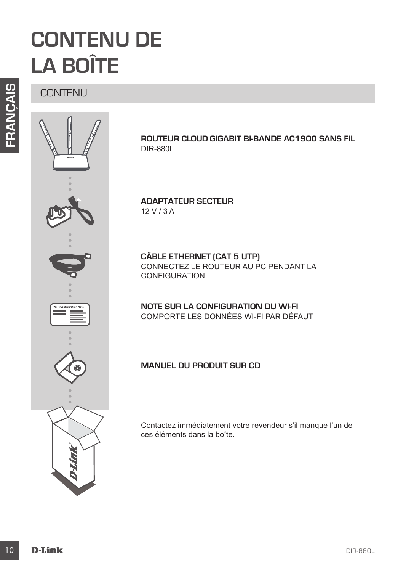## **CONTENU DE LA BOÎTE**

**CONTENU** 



**Routeur Cloud Gigabit bi-bande AC1900 sans fil**  DIR-880L

**ADAPTATEUR SECTEUR** 12 V / 3 A

**CÂBLE ETHERNET (CAT 5 UTP)** CONNECTEZ LE ROUTEUR AU PC PENDANT LA CONFIGURATION.

**NOTE SUR LA CONFIGURATION DU WI-FI** COMPORTE LES DONNÉES WI-FI PAR DÉFAUT

**Manuel du produit sur CD**

Contactez immédiatement votre revendeur s'il manque l'un de ces éléments dans la boîte.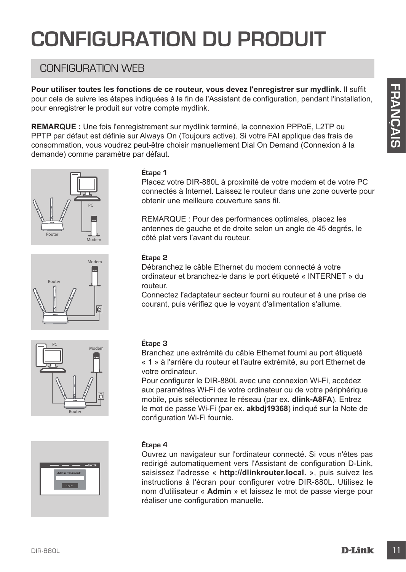## **CONFIGURATION DU PRODUI**

## CONFIGURATION WEB

**Pour utiliser toutes les fonctions de ce routeur, vous devez l'enregistrer sur mydlink.** Il suffit pour cela de suivre les étapes indiquées à la fin de l'Assistant de configuration, pendant l'installation, pour enregistrer le produit sur votre compte mydlink.

**REMARQUE :** Une fois l'enregistrement sur mydlink terminé, la connexion PPPoE, L2TP ou PPTP par défaut est définie sur Always On (Toujours active). Si votre FAI applique des frais de consommation, vous voudrez peut-être choisir manuellement Dial On Demand (Connexion à la demande) comme paramètre par défaut.









#### **Étape 1**

Placez votre DIR-880L à proximité de votre modem et de votre PC connectés à Internet. Laissez le routeur dans une zone ouverte pour obtenir une meilleure couverture sans fil.

REMARQUE : Pour des performances optimales, placez les antennes de gauche et de droite selon un angle de 45 degrés, le côté plat vers l'avant du routeur.

#### **Étape 2**

Débranchez le câble Ethernet du modem connecté à votre ordinateur et branchez-le dans le port étiqueté « INTERNET » du routeur.

Connectez l'adaptateur secteur fourni au routeur et à une prise de courant, puis vérifiez que le voyant d'alimentation s'allume.

#### **Étape 3**

Branchez une extrémité du câble Ethernet fourni au port étiqueté « 1 » à l'arrière du routeur et l'autre extrémité, au port Ethernet de votre ordinateur.

Pour configurer le DIR-880L avec une connexion Wi-Fi, accédez aux paramètres Wi-Fi de votre ordinateur ou de votre périphérique mobile, puis sélectionnez le réseau (par ex. **dlink-A8FA**). Entrez le mot de passe Wi-Fi (par ex. **akbdj19368**) indiqué sur la Note de configuration Wi-Fi fournie.

#### **Étape 4**

Pour utiliser founded to conduct you a down of the properties wire my with K. IIs uffit.<br>
Tour cela de suivre les étipes indiquées à la fin de l'Assistant de configuration, pendant l'Installation,<br>
pour déale suivre les pr Ouvrez un navigateur sur l'ordinateur connecté. Si vous n'êtes pas redirigé automatiquement vers l'Assistant de configuration D-Link, saisissez l'adresse « **http://dlinkrouter.local.** », puis suivez les instructions à l'écran pour configurer votre DIR-880L. Utilisez le nom d'utilisateur « **Admin** » et laissez le mot de passe vierge pour réaliser une configuration manuelle.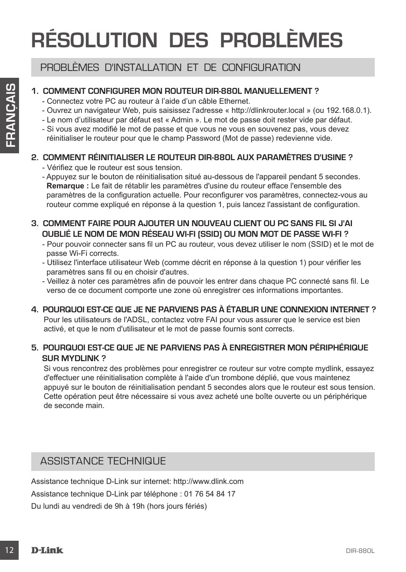## **RÉSOLUTION DES PROBLÈMES**

### PROBLÈMES D'INSTALLATION ET DE CONFIGURATION

#### **1. COMMENT CONFIGURER MON ROUTEUR DIR-880L manuellement ?**

- Connectez votre PC au routeur à l'aide d'un câble Ethernet.
- Ouvrez un navigateur Web, puis saisissez l'adresse « http://dlinkrouter.local » (ou 192.168.0.1).
- Le nom d'utilisateur par défaut est « Admin ». Le mot de passe doit rester vide par défaut.
- Si vous avez modifié le mot de passe et que vous ne vous en souvenez pas, vous devez réinitialiser le routeur pour que le champ Password (Mot de passe) redevienne vide.

#### **2. COMMENT RÉINITIALISER LE ROUTEUR DIR-880L AUX PARAMÈTRES D'USINE ?**

- Vérifiez que le routeur est sous tension.
- Appuyez sur le bouton de réinitialisation situé au-dessous de l'appareil pendant 5 secondes. **Remarque :** Le fait de rétablir les paramètres d'usine du routeur efface l'ensemble des paramètres de la configuration actuelle. Pour reconfigurer vos paramètres, connectez-vous au routeur comme expliqué en réponse à la question 1, puis lancez l'assistant de configuration.
- **3. COMMENT FAIRE POUR AJOUTER UN NOUVEAU CLIENT OU PC SANS FIL SI J'AI OUBLIÉ LE NOM DE MON RÉSEAU WI-FI (SSID) OU MON MOT DE PASSE WI-FI ?**
	- Pour pouvoir connecter sans fil un PC au routeur, vous devez utiliser le nom (SSID) et le mot de passe Wi-Fi corrects.
	- Utilisez l'interface utilisateur Web (comme décrit en réponse à la question 1) pour vérifier les paramètres sans fil ou en choisir d'autres.
	- Veillez à noter ces paramètres afin de pouvoir les entrer dans chaque PC connecté sans fil. Le verso de ce document comporte une zone où enregistrer ces informations importantes.

#### **4. POURQUOI EST-CE QUE JE NE PARVIENS PAS À ÉTABLIR UNE CONNEXION INTERNET ?**

Pour les utilisateurs de l'ADSL, contactez votre FAI pour vous assurer que le service est bien activé, et que le nom d'utilisateur et le mot de passe fournis sont corrects.

#### **5. POURQUOI EST-CE QUE JE NE PARVIENS PAS À ENREGISTRER MON PÉRIPHÉRIQUE SUR MYDLINK ?**

12 COMMENT CONFIGUERE MON ROLUTELIA DIR-880L MANUELLEMENT?<br>
-Connectes vorte PC au mouteur à faide d'un cable Elhernet.<br>
-Connectes vorte PC au mouteur à faide d'un cable Elhernet.<br>
-Le noon d'utilisatiesur Web, puis saiss Si vous rencontrez des problèmes pour enregistrer ce routeur sur votre compte mydlink, essayez d'effectuer une réinitialisation complète à l'aide d'un trombone déplié, que vous maintenez appuyé sur le bouton de réinitialisation pendant 5 secondes alors que le routeur est sous tension. Cette opération peut être nécessaire si vous avez acheté une boîte ouverte ou un périphérique de seconde main.

### ASSISTANCE TECHNIQUE

Assistance technique D-Link sur internet: http://www.dlink.com Assistance technique D-Link par téléphone : 01 76 54 84 17 Du lundi au vendredi de 9h à 19h (hors jours fériés)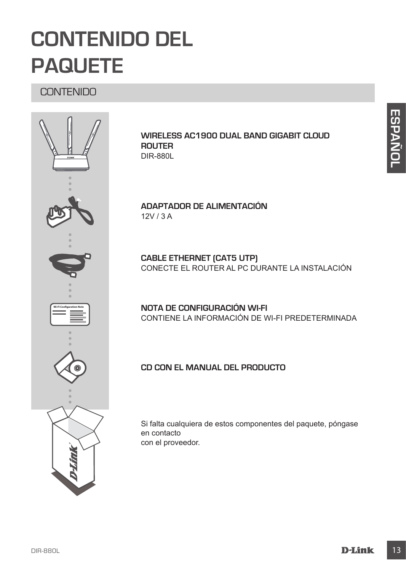## **CONTENIDO DEL PAQUETE**

CONTENIDO



**Wireless AC1900 Dual Band Gigabit Cloud Router** DIR-880L

**ADAPTADOR DE ALIMENTACIÓN** 12V / 3 A

**CABLE ETHERNET (CAT5 UTP)** CONECTE EL ROUTER AL PC DURANTE LA INSTALACIÓN

**NOTA DE CONFIGURACIÓN WI-FI** CONTIENE LA INFORMACIÓN DE WI-FI PREDETERMINADA

#### **CD con el manual del producto**

Si falta cualquiera de estos componentes del paquete, póngase en contacto con el proveedor.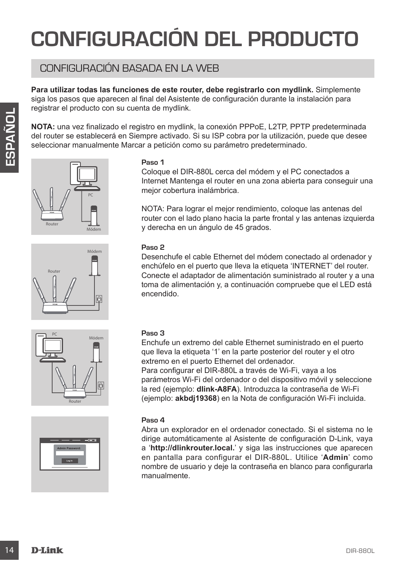## **CONFIGURACIÓN DEL PRODUCTO**

## CONFIGURACIÓN BASADA EN LA WEB

**Para utilizar todas las funciones de este router, debe registrarlo con mydlink.** Simplemente siga los pasos que aparecen al final del Asistente de configuración durante la instalación para registrar el producto con su cuenta de mydlink.

**NOTA:** una vez finalizado el registro en mydlink, la conexión PPPoE, L2TP, PPTP predeterminada del router se establecerá en Siempre activado. Si su ISP cobra por la utilización, puede que desee seleccionar manualmente Marcar a petición como su parámetro predeterminado.









#### **Paso 1**

Coloque el DIR-880L cerca del módem y el PC conectados a Internet Mantenga el router en una zona abierta para conseguir una mejor cobertura inalámbrica.

NOTA: Para lograr el mejor rendimiento, coloque las antenas del router con el lado plano hacia la parte frontal y las antenas izquierda y derecha en un ángulo de 45 grados.

#### **Paso 2**

Desenchufe el cable Ethernet del módem conectado al ordenador y enchúfelo en el puerto que lleva la etiqueta 'INTERNET' del router. Conecte el adaptador de alimentación suministrado al router y a una toma de alimentación y, a continuación compruebe que el LED está encendido.

#### **Paso 3**

Enchufe un extremo del cable Ethernet suministrado en el puerto que lleva la etiqueta '1' en la parte posterior del router y el otro extremo en el puerto Ethernet del ordenador.

Para configurar el DIR-880L a través de Wi-Fi, vaya a los parámetros Wi-Fi del ordenador o del dispositivo móvil y seleccione la red (ejemplo: **dlink-A8FA**). Introduzca la contraseña de Wi-Fi (ejemplo: **akbdj19368**) en la Nota de configuración Wi-Fi incluida.

#### **Paso 4**

**Example a** punction as uncertainties in exception on the trigonomic of the control of the control of the control of the control of the control of the control of the control of the control of the control of the control of Abra un explorador en el ordenador conectado. Si el sistema no le dirige automáticamente al Asistente de configuración D-Link, vaya a '**http://dlinkrouter.local.**' y siga las instrucciones que aparecen en pantalla para configurar el DIR-880L. Utilice '**Admin**' como nombre de usuario y deje la contraseña en blanco para configurarla manualmente.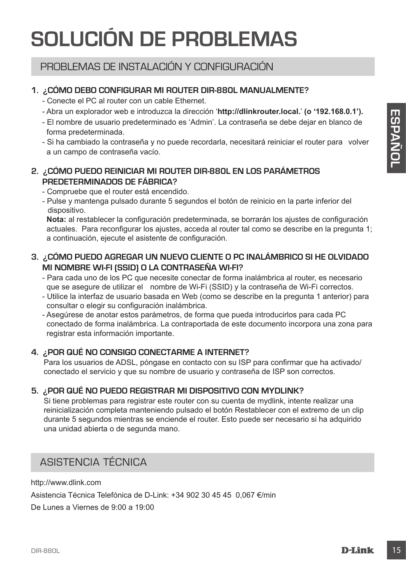## **SOLUCIÓN DE PROBLEMAS**

### PROBLEMAS DE INSTALACIÓN Y CONFIGURACIÓN

#### **1. ¿CÓMO DEBO CONFIGURAR MI ROUTER DIR-880L manualmente?**

- Conecte el PC al router con un cable Ethernet.
- Abra un explorador web e introduzca la dirección '**http://dlinkrouter.local.**' **(o '192.168.0.1').**
- El nombre de usuario predeterminado es 'Admin'. La contraseña se debe dejar en blanco de forma predeterminada.
- Si ha cambiado la contraseña y no puede recordarla, necesitará reiniciar el router para volver a un campo de contraseña vacío.

#### **2. ¿CÓMO PUEDO REINICIAR MI ROUTER DIR-880L EN LOS PARÁMETROS PREDETERMINADOS DE FÁBRICA?**

- Compruebe que el router está encendido.
- Pulse y mantenga pulsado durante 5 segundos el botón de reinicio en la parte inferior del dispositivo.

**Nota:** al restablecer la configuración predeterminada, se borrarán los ajustes de configuración actuales. Para reconfigurar los ajustes, acceda al router tal como se describe en la pregunta 1; a continuación, ejecute el asistente de configuración.

#### **3. ¿CÓMO PUEDO AGREGAR UN NUEVO CLIENTE O PC INALÁMBRICO SI HE OLVIDADO MI NOMBRE WI-FI (SSID) O LA CONTRASEÑA WI-FI?**

- Para cada uno de los PC que necesite conectar de forma inalámbrica al router, es necesario que se asegure de utilizar el nombre de Wi-Fi (SSID) y la contraseña de Wi-Fi correctos.
- Utilice la interfaz de usuario basada en Web (como se describe en la pregunta 1 anterior) para consultar o elegir su configuración inalámbrica.
- Asegúrese de anotar estos parámetros, de forma que pueda introducirlos para cada PC conectado de forma inalámbrica. La contraportada de este documento incorpora una zona para registrar esta información importante.

#### **4. ¿POR QUÉ NO CONSIGO CONECTARME A INTERNET?**

Para los usuarios de ADSL, póngase en contacto con su ISP para confirmar que ha activado/ conectado el servicio y que su nombre de usuario y contraseña de ISP son correctos.

#### **5. ¿POR QUÉ NO PUEDO REGISTRAR MI DISPOSITIVO CON MYDLINK?**

-AMB universidence into a constrained one control and a streament of the principal method. The control and the constrained the constrained the constrained the constrained the constrained the same of the constrained the con Si tiene problemas para registrar este router con su cuenta de mydlink, intente realizar una reinicialización completa manteniendo pulsado el botón Restablecer con el extremo de un clip durante 5 segundos mientras se enciende el router. Esto puede ser necesario si ha adquirido una unidad abierta o de segunda mano.

### ASISTENCIA TÉCNICA

http://www.dlink.com

Asistencia Técnica Telefónica de D-Link: +34 902 30 45 45 0,067 €/min

De Lunes a Viernes de 9:00 a 19:00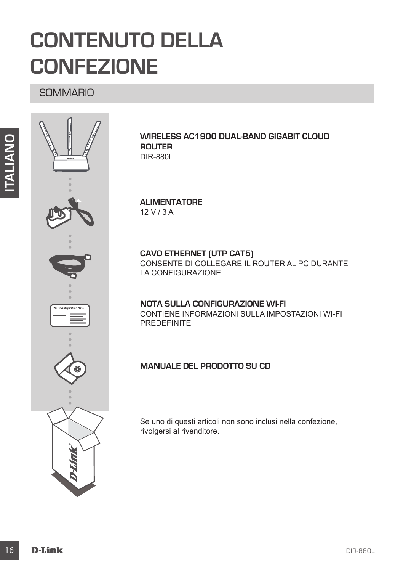## **CONTENUTO DELLA CONFEZIONE**

**SOMMARIO** 



#### **Wireless AC1900 Dual-Band Gigabit Cloud Router**  DIR-880L

#### **ALIMENTATORE** 12 V / 3 A

**CAVO ETHERNET (UTP CAT5)** CONSENTE DI COLLEGARE IL ROUTER AL PC DURANTE LA CONFIGURAZIONE

#### **NOTA SULLA CONFIGURAZIONE WI-FI** CONTIENE INFORMAZIONI SULLA IMPOSTAZIONI WI-FI PREDEFINITE

#### **Manuale del prodotto su CD**

Se uno di questi articoli non sono inclusi nella confezione, rivolgersi al rivenditore.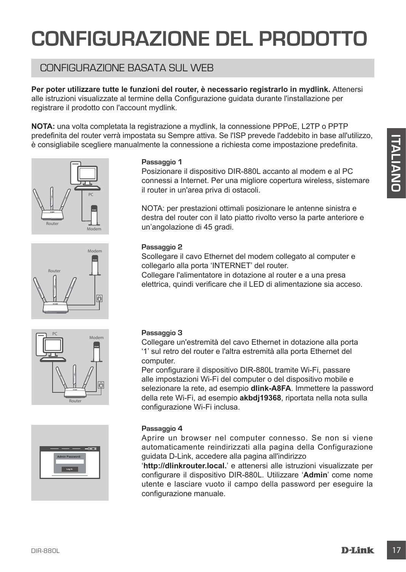## **CONFIGURAZIONE DEL PRODOTTO**

## CONFIGURAZIONE BASATA SUL WEB

**Per poter utilizzare tutte le funzioni del router, è necessario registrarlo in mydlink.** Attenersi alle istruzioni visualizzate al termine della Configurazione guidata durante l'installazione per registrare il prodotto con l'account mydlink.

**NOTA:** una volta completata la registrazione a mydlink, la connessione PPPoE, L2TP o PPTP predefinita del router verrà impostata su Sempre attiva. Se l'ISP prevede l'addebito in base all'utilizzo, è consigliabile scegliere manualmente la connessione a richiesta come impostazione predefinita.









#### **Passaggio 1**

Posizionare il dispositivo DIR-880L accanto al modem e al PC connessi a Internet. Per una migliore copertura wireless, sistemare il router in un'area priva di ostacoli.

NOTA: per prestazioni ottimali posizionare le antenne sinistra e destra del router con il lato piatto rivolto verso la parte anteriore e un'angolazione di 45 gradi.

#### **Passaggio 2**

Scollegare il cavo Ethernet del modem collegato al computer e collegarlo alla porta 'INTERNET' del router.

Collegare l'alimentatore in dotazione al router e a una presa elettrica, quindi verificare che il LED di alimentazione sia acceso.

#### **Passaggio 3**

Collegare un'estremità del cavo Ethernet in dotazione alla porta '1' sul retro del router e l'altra estremità alla porta Ethernet del computer.

**Processorial and the content in defining the content in the content of the content of the content of the content of the content of the content of the content of the content of the content of the content of the content of** Per configurare il dispositivo DIR-880L tramite Wi-Fi, passare alle impostazioni Wi-Fi del computer o del dispositivo mobile e selezionare la rete, ad esempio **dlink-A8FA**. Immettere la password della rete Wi-Fi, ad esempio **akbdj19368**, riportata nella nota sulla configurazione Wi-Fi inclusa.

#### **Passaggio 4**

Aprire un browser nel computer connesso. Se non si viene automaticamente reindirizzati alla pagina della Configurazione guidata D-Link, accedere alla pagina all'indirizzo

'**http://dlinkrouter.local.**' e attenersi alle istruzioni visualizzate per configurare il dispositivo DIR-880L. Utilizzare '**Admin**' come nome utente e lasciare vuoto il campo della password per eseguire la configurazione manuale.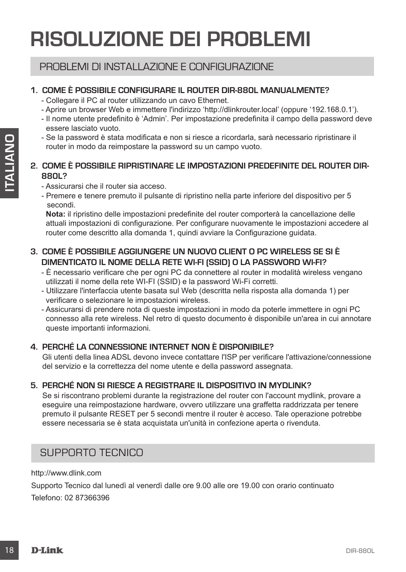## **RISOLUZIONE DEI PROBLEMI**

### PROBLEMI DI INSTALLAZIONE E CONFIGURAZIONE

#### **1. COME È POSSIBILE CONFIGURARE IL ROUTER DIR-880L manualmente?**

- Collegare il PC al router utilizzando un cavo Ethernet.
- Aprire un browser Web e immettere l'indirizzo 'http://dlinkrouter.local' (oppure '192.168.0.1').
- Il nome utente predefinito è 'Admin'. Per impostazione predefinita il campo della password deve essere lasciato vuoto.
- Se la password è stata modificata e non si riesce a ricordarla, sarà necessario ripristinare il router in modo da reimpostare la password su un campo vuoto.

#### **2. COME È POSSIBILE RIPRISTINARE LE IMPOSTAZIONI PREDEFINITE DEL ROUTER DIR-880L?**

- Assicurarsi che il router sia acceso.
- Premere e tenere premuto il pulsante di ripristino nella parte inferiore del dispositivo per 5 secondi.

**Nota:** il ripristino delle impostazioni predefinite del router comporterà la cancellazione delle attuali impostazioni di configurazione. Per configurare nuovamente le impostazioni accedere al router come descritto alla domanda 1, quindi avviare la Configurazione guidata.

#### **3. COME È POSSIBILE AGGIUNGERE UN NUOVO CLIENT O PC WIRELESS SE SI È DIMENTICATO IL NOME DELLA RETE WI-FI (SSID) O LA PASSWORD WI-FI?**

- È necessario verificare che per ogni PC da connettere al router in modalità wireless vengano utilizzati il nome della rete WI-FI (SSID) e la password Wi-Fi corretti.
- Utilizzare l'interfaccia utente basata sul Web (descritta nella risposta alla domanda 1) per verificare o selezionare le impostazioni wireless.
- Assicurarsi di prendere nota di queste impostazioni in modo da poterle immettere in ogni PC connesso alla rete wireless. Nel retro di questo documento è disponibile un'area in cui annotare queste importanti informazioni.

#### **4. PERCHÉ LA CONNESSIONE INTERNET NON È DISPONIBILE?**

Gli utenti della linea ADSL devono invece contattare l'ISP per verificare l'attivazione/connessione del servizio e la correttezza del nome utente e della password assegnata.

#### **5. PERCHÉ NON SI RIESCE A REGISTRARE IL DISPOSITIVO IN MYDLINK?**

- Sela passevord è siata molificiala e non si riesce a ricordata, sarà necessario ripristinare il<br>
2. COME È POSSIBILE RIPRISTINARE LE IMPOSTAZIONI PREDEFINITE DEL ROUTER DIR-<br>
8. COME È POSSIBILE RIPRISTINARE LE IMPOSTA Se si riscontrano problemi durante la registrazione del router con l'account mydlink, provare a eseguire una reimpostazione hardware, ovvero utilizzare una graffetta raddrizzata per tenere premuto il pulsante RESET per 5 secondi mentre il router è acceso. Tale operazione potrebbe essere necessaria se è stata acquistata un'unità in confezione aperta o rivenduta.

### SUPPORTO TECNICO

http://www.dlink.com

Supporto Tecnico dal lunedì al venerdì dalle ore 9.00 alle ore 19.00 con orario continuato Telefono: 02 87366396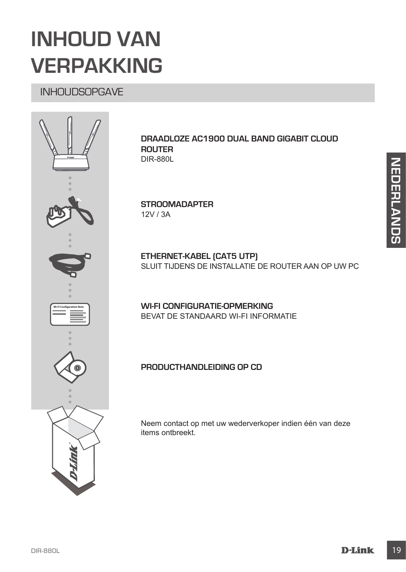## **INHOUD VAN VERPAKKING**

## INHOUDSOPGAVE



#### **Draadloze AC1900 Dual Band Gigabit Cloud Router**  DIR-880L

**STROOMADAPTER** 12V / 3A

**ETHERNET-KABEL (CAT5 UTP)** SLUIT TLIDENS DE INSTALLATIE DE ROUTER AAN OP UW PC

**WI-FI CONFIGURATIE-OPMERKING** BEVAT DE STANDAARD WI-FI INFORMATIE

#### **Producthandleiding op cd**

Neem contact op met uw wederverkoper indien één van deze items ontbreekt.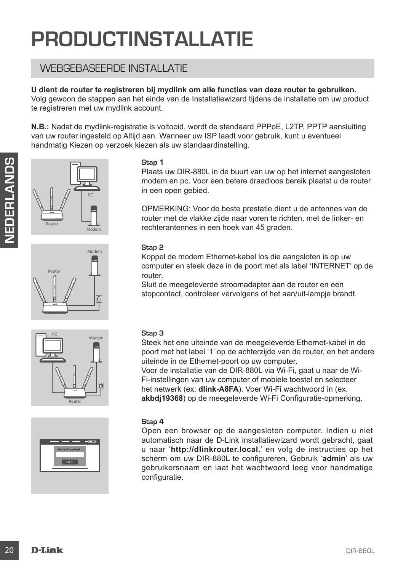## **PRODUCTINSTALLATIE**

### WEBGEBASEERDE INSTALLATIE

#### **U dient de router te registreren bij mydlink om alle functies van deze router te gebruiken.**

Volg gewoon de stappen aan het einde van de Installatiewizard tijdens de installatie om uw product te registreren met uw mydlink account.

**N.B.:** Nadat de mydlink-registratie is voltooid, wordt de standaard PPPoE, L2TP, PPTP aansluiting van uw router ingesteld op Altijd aan. Wanneer uw ISP laadt voor gebruik, kunt u eventueel handmatig Kiezen op verzoek kiezen als uw standaardinstelling.



# Modem Router





#### **Stap 1**

Plaats uw DIR-880L in de buurt van uw op het internet aangesloten modem en pc. Voor een betere draadloos bereik plaatst u de router in een open gebied.

OPMERKING: Voor de beste prestatie dient u de antennes van de router met de vlakke zijde naar voren te richten, met de linker- en rechterantennes in een hoek van 45 graden.

#### **Stap 2**

Koppel de modem Ethernet-kabel los die aangsloten is op uw computer en steek deze in de poort met als label 'INTERNET' op de router.

Sluit de meegeleverde stroomadapter aan de router en een stopcontact, controleer vervolgens of het aan/uit-lampje brandt.

#### **Stap 3**

Steek het ene uiteinde van de meegeleverde Ethernet-kabel in de poort met het label '1' op de achterzijde van de router, en het andere uiteinde in de Ethernet-poort op uw computer.

Voor de installatie van de DIR-880L via Wi-Fi, gaat u naar de Wi-Fi-instellingen van uw computer of mobiele toestel en selecteer het netwerk (ex: **dlink-A8FA**). Voer Wi-Fi wachtwoord in (ex. **akbdj19368**) op de meegeleverde Wi-Fi Configuratie-opmerking.

#### **Stap 4**

Start and the button of the button of the button of the button of the conduction of the set of the conduction of the set of the set of the set of the set of the set of the set of the set of the set of the set of the set of Open een browser op de aangesloten computer. Indien u niet automatisch naar de D-Link installatiewizard wordt gebracht, gaat u naar '**http://dlinkrouter.local.**' en volg de instructies op het scherm om uw DIR-880L te configureren. Gebruik '**admin**' als uw gebruikersnaam en laat het wachtwoord leeg voor handmatige configuratie.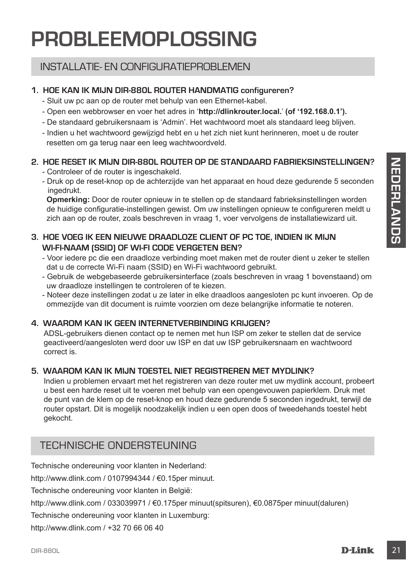## **PROBLEEMOPLOSSING**

## INSTALLATIE- EN CONFIGURATIEPROBLEMEN

### **1. HOE KAN IK MIJN DIR-880L ROUTER handmatig configureren?**

- Sluit uw pc aan op de router met behulp van een Ethernet-kabel.
- Open een webbrowser en voer het adres in '**http://dlinkrouter.local.**' **(of '192.168.0.1').**
- De standaard gebruikersnaam is 'Admin'. Het wachtwoord moet als standaard leeg blijven.
- Indien u het wachtwoord gewijzigd hebt en u het zich niet kunt herinneren, moet u de router resetten om ga terug naar een leeg wachtwoordveld.

### **2. HOE RESET IK MIJN DIR-880L ROUTER OP DE STANDAARD FABRIEKSINSTELLINGEN?**

- Controleer of de router is ingeschakeld.
- Druk op de reset-knop op de achterzijde van het apparaat en houd deze gedurende 5 seconden ingedrukt.

**Opmerking:** Door de router opnieuw in te stellen op de standaard fabrieksinstellingen worden de huidige configuratie-instellingen gewist. Om uw instellingen opnieuw te configureren meldt u zich aan op de router, zoals beschreven in vraag 1, voer vervolgens de installatiewizard uit.

#### **3. HOE VOEG IK EEN NIEUWE DRAADLOZE CLIENT OF PC TOE, INDIEN IK MIJN WI-FI-NAAM (SSID) OF WI-FI CODE VERGETEN BEN?**

- Voor iedere pc die een draadloze verbinding moet maken met de router dient u zeker te stellen dat u de correcte Wi-Fi naam (SSID) en Wi-Fi wachtwoord gebruikt.
- Gebruik de webgebaseerde gebruikersinterface (zoals beschreven in vraag 1 bovenstaand) om uw draadloze instellingen te controleren of te kiezen.
- Noteer deze instellingen zodat u ze later in elke draadloos aangesloten pc kunt invoeren. Op de ommezijde van dit document is ruimte voorzien om deze belangrijke informatie te noteren.

### **4. WAAROM KAN IK GEEN INTERNETVERBINDING KRIJGEN?**

ADSL-gebruikers dienen contact op te nemen met hun ISP om zeker te stellen dat de service geactiveerd/aangesloten werd door uw ISP en dat uw ISP gebruikersnaam en wachtwoord correct is.

#### **5. WAAROM KAN IK MIJN TOESTEL NIET REGISTREREN MET MYDLINK?**

**E. HOEFSET IV. MINN DIR-BEON ROUTER OP DE STANDAARD FABRIEKSINSTELLINGEN?**<br>
Controleer of de counter is ingeschaked.<br>
Integration of de achievation of the achievation of the activation of determinities in the activation o Indien u problemen ervaart met het registreren van deze router met uw mydlink account, probeert u best een harde reset uit te voeren met behulp van een opengevouwen papierklem. Druk met de punt van de klem op de reset-knop en houd deze gedurende 5 seconden ingedrukt, terwijl de router opstart. Dit is mogelijk noodzakelijk indien u een open doos of tweedehands toestel hebt gekocht.

## TECHNISCHE ONDERSTEUNING

Technische ondereuning voor klanten in Nederland:

http://www.dlink.com / 0107994344 / €0.15per minuut.

Technische ondereuning voor klanten in België:

http://www.dlink.com / 033039971 / €0.175per minuut(spitsuren), €0.0875per minuut(daluren)

Technische ondereuning voor klanten in Luxemburg:

http://www.dlink.com / +32 70 66 06 40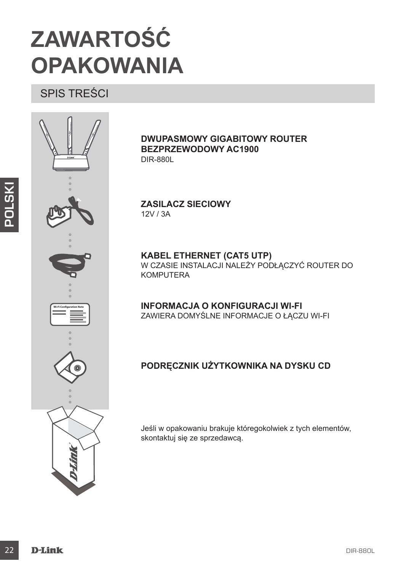## **ZAWARTOŚĆ OPAKOWANIA**

SPIS TREŚCI



**Dwupasmowy gigabitowy router bezprzewodowy AC1900**  DIR-880L

**ZASILACZ SIECIOWY** 12V / 3A

**KABEL ETHERNET (CAT5 UTP)** W CZASIE INSTALACJI NALEŻY PODŁĄCZYĆ ROUTER DO KOMPUTERA

**Informacja o konfiguracji Wi-Fi** ZAWIERA DOMYŚLNE INFORMACJE O ŁĄCZU WI-FI

### **Podręcznik użytkownika na dysku CD**

Jeśli w opakowaniu brakuje któregokolwiek z tych elementów, skontaktuj się ze sprzedawcą.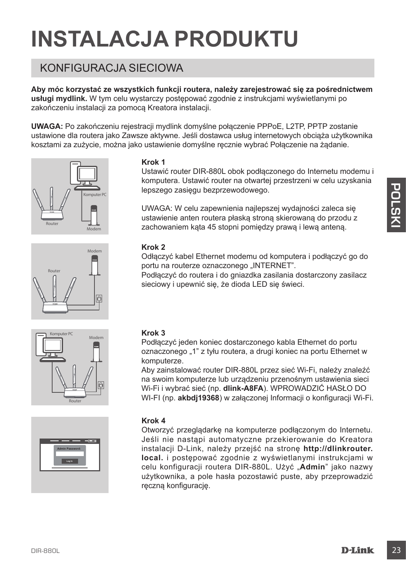## **INSTALACJA PRODUKTU**

## KONFIGURACJA SIECIOWA

**Aby móc korzystać ze wszystkich funkcji routera, należy zarejestrować się za pośrednictwem usługi mydlink.** W tym celu wystarczy postępować zgodnie z instrukcjami wyświetlanymi po zakończeniu instalacji za pomocą Kreatora instalacji.

**UWAGA:** Po zakończeniu rejestracji mydlink domyślne połączenie PPPoE, L2TP, PPTP zostanie ustawione dla routera jako Zawsze aktywne. Jeśli dostawca usług internetowych obciąża użytkownika kosztami za zużycie, można jako ustawienie domyślne ręcznie wybrać Połączenie na żądanie.









#### **Krok 1**

Ustawić router DIR-880L obok podłączonego do Internetu modemu i komputera. Ustawić router na otwartej przestrzeni w celu uzyskania lepszego zasięgu bezprzewodowego.

UWAGA: W celu zapewnienia najlepszej wydajności zaleca się ustawienie anten routera płaską stroną skierowaną do przodu z zachowaniem kąta 45 stopni pomiędzy prawą i lewą anteną.

#### **Krok 2**

Odłączyć kabel Ethernet modemu od komputera i podłączyć go do portu na routerze oznaczonego "INTERNET".

Podłączyć do routera i do gniazdka zasilania dostarczony zasilacz sieciowy i upewnić się, że dioda LED się świeci.

#### **Krok 3**

Podłączyć jeden koniec dostarczonego kabla Ethernet do portu oznaczonego "1" z tyłu routera, a drugi koniec na portu Ethernet w komputerze.

Aby zainstalować router DIR-880L przez sieć Wi-Fi, należy znaleźć na swoim komputerze lub urządzeniu przenośnym ustawienia sieci Wi-Fi i wybrać sieć (np. **dlink-A8FA**). WPROWADZIĆ HASŁO DO WI-FI (np. **akbdj19368**) w załączonej Informacji o konfiguracji Wi-Fi.

#### **Krok 4**

Lensixeyo zasiegu bezprzewodowego.<br>
UWAGA: W celu zapowienie najleszej wydajności zalece się<br>
ustawienie anten routera plaską stroną sterowaną do przodu z<br>
zachowaniem kąta 45 stopni pomiędzy prawą i lewą anteną.<br> **Exampl** Otworzyć przeglądarkę na komputerze podłączonym do Internetu. Jeśli nie nastąpi automatyczne przekierowanie do Kreatora instalacji D-Link, należy przejść na stronę **http://dlinkrouter. local.** i postępować zgodnie z wyświetlanymi instrukcjami w celu konfiguracji routera DIR-880L. Użyć "**Admin**" jako nazwy użytkownika, a pole hasła pozostawić puste, aby przeprowadzić ręczną konfigurację.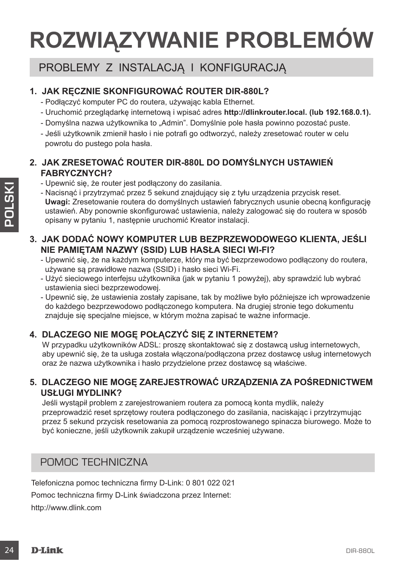# **ROZWIĄZYWANIE PROBLEMÓW**

## PROBLEMY Z INSTALACJĄ I KONFIGURACJĄ

### **1. JAK RĘCZNIE SKONFIGUROWAĆ ROUTER DIR-880L?**

- Podłączyć komputer PC do routera, używając kabla Ethernet.
- Uruchomić przeglądarkę internetową i wpisać adres **http://dlinkrouter.local. (lub 192.168.0.1).**
- Domyślna nazwa użytkownika to "Admin". Domyślnie pole hasła powinno pozostać puste.
- Jeśli użytkownik zmienił hasło i nie potrafi go odtworzyć, należy zresetować router w celu powrotu do pustego pola hasła.

#### **2. JAK ZRESETOWAĆ ROUTER DIR-880L DO DOMYŚLNYCH USTAWIEŃ FABRYCZNYCH?**

- Upewnić się, że router jest podłączony do zasilania.
- 24 Determines *is a* coluction to the most limit of the statistical contents of the compatition in teaching interaction in the statistic order is the compatition in the statistical contents and dominate observe the compa - Nacisnąć i przytrzymać przez 5 sekund znajdujący się z tyłu urządzenia przycisk reset. **Uwagi:** Zresetowanie routera do domyślnych ustawień fabrycznych usunie obecną konfigurację ustawień. Aby ponownie skonfigurować ustawienia, należy zalogować się do routera w sposób opisany w pytaniu 1, następnie uruchomić Kreator instalacji.

#### **3. JAK DODAĆ NOWY KOMPUTER LUB BEZPRZEWODOWEGO KLIENTA, JEŚLI NIE PAMIĘTAM NAZWY (SSID) LUB HASŁA SIECI WI-FI?**

- Upewnić się, że na każdym komputerze, który ma być bezprzewodowo podłączony do routera, używane są prawidłowe nazwa (SSID) i hasło sieci Wi-Fi.
- Użyć sieciowego interfejsu użytkownika (jak w pytaniu 1 powyżej), aby sprawdzić lub wybrać ustawienia sieci bezprzewodowej.
- Upewnić się, że ustawienia zostały zapisane, tak by możliwe było późniejsze ich wprowadzenie do każdego bezprzewodowo podłączonego komputera. Na drugiej stronie tego dokumentu znajduje się specjalne miejsce, w którym można zapisać te ważne informacje.

#### **4. DLACZEGO NIE MOGĘ POŁĄCZYĆ SIĘ Z INTERNETEM?**

W przypadku użytkowników ADSL: prosze skontaktować się z dostawca usług internetowych. aby upewnić się, że ta usługa została włączona/podłączona przez dostawcę usług internetowych oraz że nazwa użytkownika i hasło przydzielone przez dostawcę są właściwe.

#### **5. DLACZEGO NIE MOGĘ ZAREJESTROWAĆ URZĄDZENIA ZA POŚREDNICTWEM USŁUGI MYDLINK?**

Jeśli wystąpił problem z zarejestrowaniem routera za pomocą konta mydlik, należy przeprowadzić reset sprzętowy routera podłączonego do zasilania, naciskając i przytrzymując przez 5 sekund przycisk resetowania za pomocą rozprostowanego spinacza biurowego. Może to być konieczne, jeśli użytkownik zakupił urządzenie wcześniej używane.

### POMOC TECHNICZNA

Telefoniczna pomoc techniczna firmy D-Link: 0 801 022 021

Pomoc techniczna firmy D-Link świadczona przez Internet:

http://www.dlink.com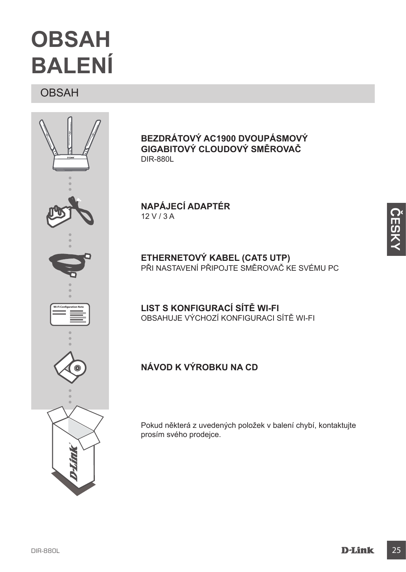## **OBSAH BALENÍ**

OBSAH



**Bezdrátový AC1900 dvoupásmový gigabitový cloudový směrovač**  DIR-880L

**NAPÁJECÍ ADAPTÉR** 12 V / 3 A

**ETHERNETOVÝ KABEL (CAT5 UTP)** PRI NASTAVENÍ PRIPOJTE SMEROVAČ KE SVÉMU PC

**LIST S KONFIGURACÍ SÍTĚ WI-FI** OBSAHUJE VÝCHOZÍ KONFIGURACI SÍTĚ WI-FI

### **Návod k výrobku na CD**

Pokud některá z uvedených položek v balení chybí, kontaktujte prosím svého prodejce.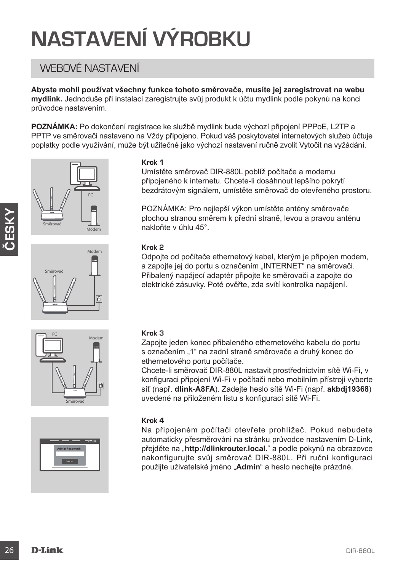# **NASTAVENÍ VÝROBKU**

## WEBOVÉ NASTAVENÍ

**Abyste mohli používat všechny funkce tohoto směrovače, musíte jej zaregistrovat na webu mydlink.** Jednoduše při instalaci zaregistrujte svůj produkt k účtu mydlink podle pokynů na konci průvodce nastavením.

**POZNÁMKA:** Po dokončení registrace ke službě mydlink bude výchozí připojení PPPoE, L2TP a PPTP ve směrovači nastaveno na Vždy připojeno. Pokud váš poskytovatel internetových služeb účtuje poplatky podle využívání, může být užitečné jako výchozí nastavení ručně zvolit Vytočit na vyžádání.











#### **Krok 1**

Umístěte směrovač DIR-880L poblíž počítače a modemu připojeného k internetu. Chcete-li dosáhnout lepšího pokrytí bezdrátovým signálem, umístěte směrovač do otevřeného prostoru.

POZNÁMKA: Pro nejlepší výkon umístěte antény směrovače plochou stranou směrem k přední straně, levou a pravou anténu nakloňte v úhlu 45°.

#### **Krok 2**

Odpojte od počítače ethernetový kabel, kterým je připojen modem, a zapojte jej do portu s označením "INTERNET" na směrovači. Přibalený napájecí adaptér připojte ke směrovači a zapojte do elektrické zásuvky. Poté ověřte, zda svítí kontrolka napájení.

#### **Krok 3**

Zapojte jeden konec přibaleného ethernetového kabelu do portu s označením "1" na zadní straně směrovače a druhý konec do ethernetového portu počítače.

Chcete-li směrovač DIR-880L nastavit prostřednictvím sítě Wi-Fi, v konfiguraci připojení Wi-Fi v počítači nebo mobilním přístroji vyberte síť (např. **dlink-A8FA**). Zadejte heslo sítě Wi-Fi (např. **akbdj19368**) uvedené na přiloženém listu s konfigurací sítě Wi-Fi.

#### **Krok 4**

Na připojeném počítači otevřete prohlížeč. Pokud nebudete automaticky přesměrováni na stránku průvodce nastavením D-Link, přejděte na "http://dlinkrouter.local." a podle pokynů na obrazovce nakonfigurujte svůj směrovač DIR-880L. Při ruční konfiguraci použijte uživatelské jméno "**Admin**" a heslo nechejte prázdné.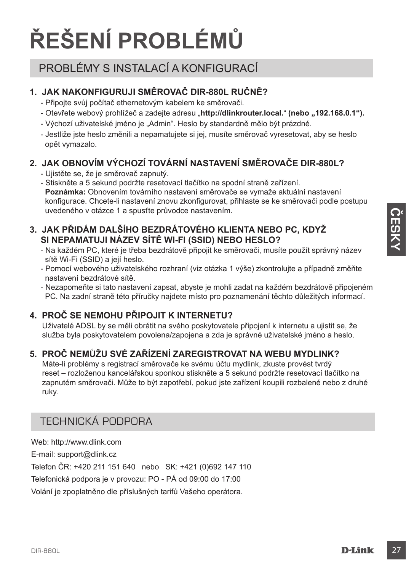# **ŘEŠENÍ PROBLÉMŮ**

## PROBLÉMY S INSTALACÍ A KONFIGURACÍ

### **1. JAK NAKONFIGURUJI SMĚROVAČ DIR-880L ručně?**

- Připojte svůj počítač ethernetovým kabelem ke směrovači.
- Otevřete webový prohlížeč a zadejte adresu "http://dlinkrouter.local." (nebo "192.168.0.1").
- Výchozí uživatelské jméno je "Admin". Heslo by standardně mělo být prázdné.
- Jestliže jste heslo změnili a nepamatujete si jej, musíte směrovač vyresetovat, aby se heslo opět vymazalo.

### **2. JAK OBNOVÍM VÝCHOZÍ TOVÁRNÍ NASTAVENÍ SMĚROVAČE DIR-880L?**

- Ujistěte se, že je směrovač zapnutý.
- Stiskněte a 5 sekund podržte resetovací tlačítko na spodní straně zařízení. **Poznámka:** Obnovením továrního nastavení směrovače se vymaže aktuální nastavení konfigurace. Chcete-li nastavení znovu zkonfigurovat, přihlaste se ke směrovači podle postupu uvedeného v otázce 1 a spusťte průvodce nastavením.

#### **3. JAK PŘIDÁM DALŠÍHO BEZDRÁTOVÉHO KLIENTA NEBO PC, KDYŽ SI NEPAMATUJI NÁZEV SÍTĚ WI-FI (SSID) NEBO HESLO?**

- Na každém PC, které je třeba bezdrátově připojit ke směrovači, musíte použít správný název sítě Wi-Fi (SSID) a její heslo.
- Pomocí webového uživatelského rozhraní (viz otázka 1 výše) zkontrolujte a případně změňte nastavení bezdrátové sítě.
- Nezapomeňte si tato nastavení zapsat, abyste je mohli zadat na každém bezdrátově připojeném PC. Na zadní straně této příručky najdete místo pro poznamenání těchto důležitých informací.

### **4. PROČ SE NEMOHU PŘIPOJIT K INTERNETU?**

Uživatelé ADSL by se měli obrátit na svého poskytovatele připojení k internetu a ujistit se, že služba byla poskytovatelem povolena/zapojena a zda je správné uživatelské jméno a heslo.

### **5. PROČ NEMŮŽU SVÉ ZAŘÍZENÍ ZAREGISTROVAT NA WEBU MYDLINK?**

Máte-li problémy s registrací směrovače ke svému účtu mydlink, zkuste provést tvrdý reset – rozloženou kancelářskou sponkou stiskněte a 5 sekund podržte resetovací tlačítko na zapnutém směrovači. Může to být zapotřebí, pokud jste zařízení koupili rozbalené nebo z druhé ruky.

## TECHNICKÁ PODPORA

Web: http://www.dlink.com E-mail: support@dlink.cz Telefon ČR: +420 211 151 640 nebo SK: +421 (0)692 147 110 Telefonická podpora je v provozu: PO - PÁ od 09:00 do 17:00 Volání je zpoplatněno dle příslušných tarifů Vašeho operátora.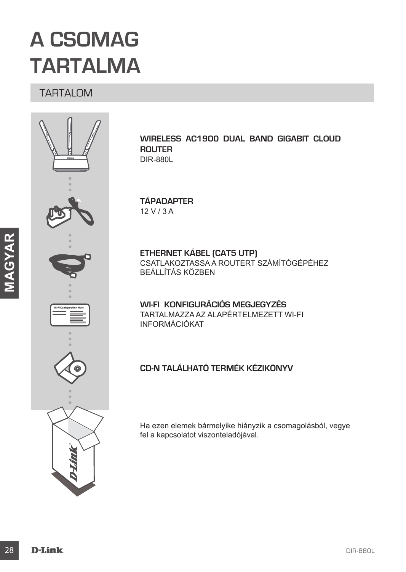## **A CSOMAG TARTALMA**

### TARTALOM



**Wireless AC1900 Dual Band Gigabit Cloud Router**  DIR-880L

#### **TÁPADAPTER** 12 V / 3 A

**ETHERNET KÁBEL (CAT5 UTP)** CSATLAKOZTASSA A ROUTERT SZÁMÍTÓGÉPÉHEZ BEÁLLÍTÁS KÖZBEN

**WI-FI KONFIGURÁCIÓS MEGJEGYZÉS** TARTALMAZZA AZ ALAPÉRTELMEZETT WI-FI INFORMÁCIÓKAT

#### **CD-n található Termék kézikönyv**

Ha ezen elemek bármelyike hiányzik a csomagolásból, vegye fel a kapcsolatot viszonteladójával.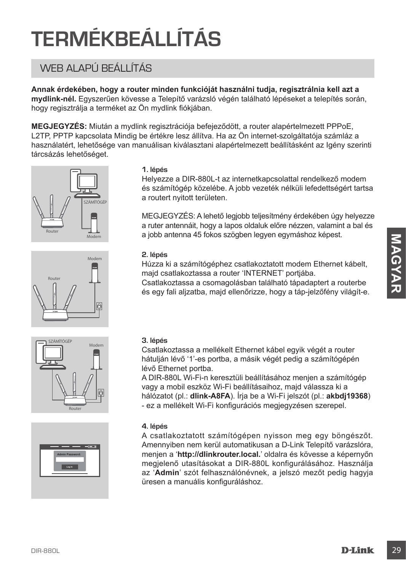# **TERMÉKBEÁLLÍTÁS**

## WEB ALAPÚ BEÁLLÍTÁS

**Annak érdekében, hogy a router minden funkcióját használni tudja, regisztrálnia kell azt a mydlink-nél.** Egyszerűen kövesse a Telepítő varázsló végén található lépéseket a telepítés során, hogy regisztrálja a terméket az Ön mydlink fiókjában.

**MEGJEGYZÉS:** Miután a mydlink regisztrációja befejeződött, a router alapértelmezett PPPoE, L2TP, PPTP kapcsolata Mindig be értékre lesz állítva. Ha az Ön internet-szolgáltatója számláz a használatért, lehetősége van manuálisan kiválasztani alapértelmezett beállításként az Igény szerinti tárcsázás lehetőséget.









#### **1. lépés**

Helyezze a DIR-880L-t az internetkapcsolattal rendelkező modem és számítógép közelébe. A jobb vezeték nélküli lefedettségért tartsa a routert nyitott területen.

MEGJEGYZÉS: A lehető legjobb teljesítmény érdekében úgy helyezze a ruter antennáit, hogy a lapos oldaluk előre nézzen, valamint a bal és a jobb antenna 45 fokos szögben legyen egymáshoz képest.

#### **2. lépés**

Húzza ki a számítógéphez csatlakoztatott modem Ethernet kábelt, majd csatlakoztassa a router 'INTERNET' portjába.

Csatlakoztassa a csomagolásban található tápadaptert a routerbe és egy fali aljzatba, majd ellenőrizze, hogy a táp-jelzőfény világít-e.

#### **3. lépés**

Csatlakoztassa a mellékelt Ethernet kábel egyik végét a router hátulján lévő '1'-es portba, a másik végét pedig a számítógépén lévő Ethernet portba.

A DIR-880L Wi-Fi-n keresztüli beállításához menjen a számítógép vagy a mobil eszköz Wi-Fi beállításaihoz, majd válassza ki a hálózatot (pl.: **dlink-A8FA**). Írja be a Wi-Fi jelszót (pl.: **akbdj19368**) - ez a mellékelt Wi-Fi konfigurációs megjegyzésen szerepel.

#### **4. lépés**

state and the state of the state of the state of the state of the state of the state of the state of the state of the state of the state of the state of the state of the state of the state of the state of the state of the A csatlakoztatott számítógépen nyisson meg egy böngészőt. Amennyiben nem kerül automatikusan a D-Link Telepítő varázslóra, menjen a '**http://dlinkrouter.local.**' oldalra és kövesse a képernyőn megjelenő utasításokat a DIR-880L konfigurálásához. Használja az '**Admin**' szót felhasználónévnek, a jelszó mezőt pedig hagyja üresen a manuális konfiguráláshoz.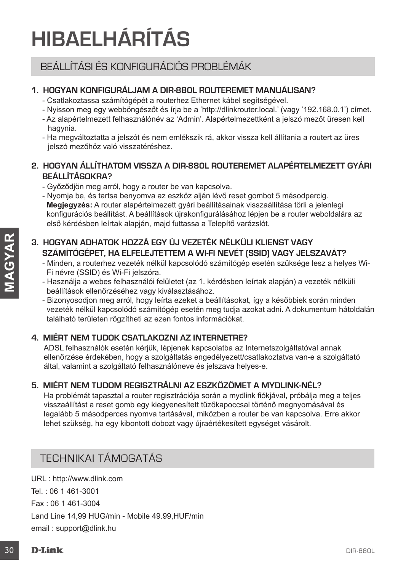## **HIBAELHÁRÍTÁS**

## BEÁLLÍTÁSI ÉS KONFIGURÁCIÓS PROBLÉMÁK

#### **1. HOGYAN KONFIGURÁLJAM A DIR-880L ROUTEREMET manuálisan?**

- Csatlakoztassa számítógépét a routerhez Ethernet kábel segítségével.
- Nyisson meg egy webböngészőt és írja be a 'http://dlinkrouter.local.' (vagy '192.168.0.1') címet.
- Az alapértelmezett felhasználónév az 'Admin'. Alapértelmezettként a jelszó mezőt üresen kell hagynia.
- Ha megváltoztatta a jelszót és nem emlékszik rá, akkor vissza kell állítania a routert az üres jelszó mezőhöz való visszatéréshez.

#### **2. HOGYAN ÁLLÍTHATOM VISSZA A DIR-880L ROUTEREMET ALAPÉRTELMEZETT GYÁRI BEÁLLÍTÁSOKRA?**

- Győződjön meg arról, hogy a router be van kapcsolva.
- Nyomja be, és tartsa benyomva az eszköz alján lévő reset gombot 5 másodpercig. **Megjegyzés:** A router alapértelmezett gyári beállításainak visszaállítása törli a jelenlegi konfigurációs beállítást. A beállítások újrakonfigurálásához lépjen be a router weboldalára az első kérdésben leírtak alapján, majd futtassa a Telepítő varázslót.

#### **3. HOGYAN ADHATOK HOZZÁ EGY ÚJ VEZETÉK NÉLKÜLI KLIENST VAGY SZÁMÍTÓGÉPET, HA ELFELEJTETTEM A WI-FI NEVÉT (SSID) VAGY JELSZAVÁT?**

- Minden, a routerhez vezeték nélkül kapcsolódó számítógép esetén szüksége lesz a helyes Wi-Fi névre (SSID) és Wi-Fi jelszóra.
- Használja a webes felhasználói felületet (az 1. kérdésben leírtak alapján) a vezeték nélküli beállítások ellenőrzéséhez vagy kiválasztásához.
- Bizonyosodjon meg arról, hogy leírta ezeket a beállításokat, így a későbbiek során minden vezeték nélkül kapcsolódó számítógép esetén meg tudja azokat adni. A dokumentum hátoldalán található területen rögzítheti az ezen fontos információkat.

#### **4. MIÉRT NEM TUDOK CSATLAKOZNI AZ INTERNETRE?**

ADSL felhasználók esetén kérjük, lépjenek kapcsolatba az Internetszolgáltatóval annak ellenőrzése érdekében, hogy a szolgáltatás engedélyezett/csatlakoztatva van-e a szolgáltató által, valamint a szolgáltató felhasználóneve és jelszava helyes-e.

#### **5. MIÉRT NEM TUDOM REGISZTRÁLNI AZ ESZKÖZÖMET A MYDLINK-NÉL?**

France (Solu) es Wi-Friescoria.<br>
France (Soluties (az 1. kérdésben leíritak alapján) a vezeték nélküli belültások ellenőzsélész vagy kivilataztásokat, így a későbbiek során minden vezeték nélküli kepcsolód szamítógép eseté Ha problémát tapasztal a router regisztrációja során a mydlink fiókjával, próbálja meg a teljes visszaállítást a reset gomb egy kiegyenesített tűzőkapoccsal történő megnyomásával és legalább 5 másodperces nyomva tartásával, miközben a router be van kapcsolva. Erre akkor lehet szükség, ha egy kibontott dobozt vagy újraértékesített egységet vásárolt.

### TECHNIKAI TÁMOGATÁS

URL : http://www.dlink.com Tel. : 06 1 461-3001 Fax : 06 1 461-3004 Land Line 14,99 HUG/min - Mobile 49.99,HUF/min email : support@dlink.hu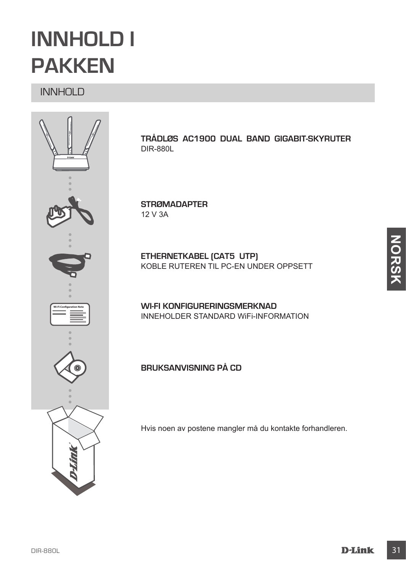## **INNHOLD I PAKKEN**

## INNHOLD



**Trådløs AC1900 Dual Band Gigabit-skyruter**  DIR-880L

**STRØMADAPTER** 12 V 3A

**ETHERNETKABEL (CAT5 UTP)** KOBLE RUTEREN TIL PC-EN UNDER OPPSETT

**Wi-Fi KONFIGURERINGSMERKNAD** INNEHOLDER STANDARD WiFi-INFORMATION

**Bruksanvisning på CD**

Hvis noen av postene mangler må du kontakte forhandleren.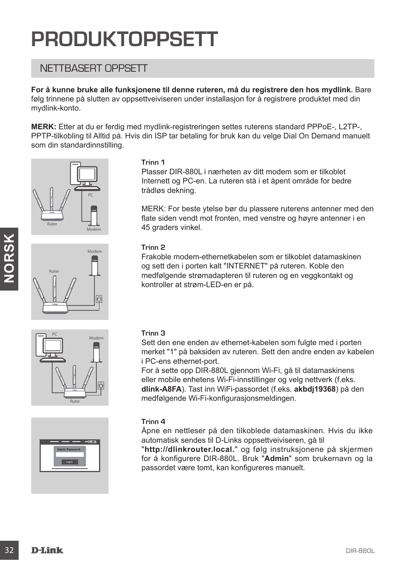## **PRODUKTOPPSETT**

### NETTBASERT OPPSETT

**For å kunne bruke alle funksjonene til denne ruteren, må du registrere den hos mydlink.** Bare følg trinnene på slutten av oppsettveiviseren under installasjon for å registrere produktet med din mydlink-konto.

**MERK:** Etter at du er ferdig med mydlink-registreringen settes ruterens standard PPPoE-, L2TP-, PPTP-tilkobling til Alltid på. Hvis din ISP tar betaling for bruk kan du velge Dial On Demand manuelt som din standardinnstilling.









#### **Trinn 1**

Plasser DIR-880L i nærheten av ditt modem som er tilkoblet Internett og PC-en. La ruteren stå i et åpent område for bedre trådløs dekning.

MERK: For beste ytelse bør du plassere ruterens antenner med den flate siden vendt mot fronten, med venstre og høyre antenner i en 45 graders vinkel.

#### **Trinn 2**

Frakoble modem-ethernetkabelen som er tilkoblet datamaskinen og sett den i porten kalt "INTERNET" på ruteren. Koble den medfølgende strømadapteren til ruteren og en veggkontakt og kontroller at strøm-LED-en er på.

#### **Trinn 3**

Sett den ene enden av ethernet-kabelen som fulgte med i porten merket "1" på baksiden av ruteren. Sett den andre enden av kabelen i PC-ens ethernet-port.

Trim 2<br>
Frakoble modem-ethernetkabelen som er tilkoblet datamaskinen<br>
og sett den i porten kalt "INTERNET" på ruteren. Koble den<br>
medfølgende størmadapteren til ruteren og en veggkontakt og<br>
(a)<br>
Sint den ene enden av ethe For å sette opp DIR-880L gjennom Wi-Fi, gå til datamaskinens eller mobile enhetens Wi-Fi-innstillinger og velg nettverk (f.eks. **dlink-A8FA**). Tast inn WiFi-passordet (f.eks. **akbdj19368**) på den medfølgende Wi-Fi-konfigurasjonsmeldingen.

#### **Trinn 4**

Åpne en nettleser på den tilkoblede datamaskinen. Hvis du ikke automatisk sendes til D-Links oppsettveiviseren, gå til

"**http://dlinkrouter.local.**" og følg instruksjonene på skjermen for å konfigurere DIR-880L. Bruk "**Admin**" som brukernavn og la passordet være tomt, kan konfigureres manuelt.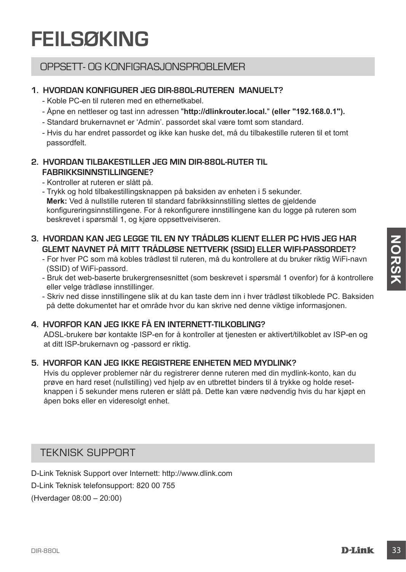## **FEILSØKING**

### OPPSETT- OG KONFIGRASJONSPROBLEMER

#### **1. HVORDAN KONFIGURER JEG DIR-880L-RUTEREN manuelt?**

- Koble PC-en til ruteren med en ethernetkabel.
- Åpne en nettleser og tast inn adressen "**http://dlinkrouter.local.**" **(eller "192.168.0.1").**
- Standard brukernavnet er 'Admin'. passordet skal være tomt som standard.
- Hvis du har endret passordet og ikke kan huske det, må du tilbakestille ruteren til et tomt passordfelt.

#### **2. HVORDAN TILBAKESTILLER JEG MIN DIR-880L-RUTER TIL FABRIKKSINNSTILLINGENE?**

- Kontroller at ruteren er slått på.

- Trykk og hold tilbakestillingsknappen på baksiden av enheten i 5 sekunder. **Merk:** Ved å nullstille ruteren til standard fabrikksinnstilling slettes de gjeldende konfigureringsinnstillingene. For å rekonfigurere innstillingene kan du logge på ruteren som beskrevet i spørsmål 1, og kjøre oppsettveiviseren.

#### **3. HVORDAN KAN JEG LEGGE TIL EN NY TRÅDLØS KLIENT ELLER PC HVIS JEG HAR GLEMT NAVNET PÅ MITT TRÅDLØSE NETTVERK (SSID) ELLER WIFI-PASSORDET?**

- For hver PC som må kobles trådløst til ruteren, må du kontrollere at du bruker riktig WiFi-navn (SSID) of WiFi-passord.
- Bruk det web-baserte brukergrensesnittet (som beskrevet i spørsmål 1 ovenfor) for å kontrollere eller velge trådløse innstillinger.

- Skriv ned disse innstillingene slik at du kan taste dem inn i hver trådløst tilkoblede PC. Baksiden på dette dokumentet har et område hvor du kan skrive ned denne viktige informasjonen.

### **4. HVORFOR KAN JEG IKKE FÅ EN INTERNETT-TILKOBLING?**

ADSL-brukere bør kontakte ISP-en for å kontroller at tjenesten er aktivert/tilkoblet av ISP-en og at ditt ISP-brukernavn og -passord er riktig.

### **5. HVORFOR KAN JEG IKKE REGISTRERE ENHETEN MED MYDLINK?**

3. HVORPAN KAN JEG LEGGET TIL EN NY TRADLØS KUEITHE PC HVIS HEN PC HVIS JEG HAR PORT TRAD (SSID) ELLER WIFH-PASSORIOFT?<br>
For twe PC som må kolles trådigst till ruteren, må du kontrollere at du bruker riktig WiFi-navn<br>
For Hvis du opplever problemer når du registrerer denne ruteren med din mydlink-konto, kan du prøve en hard reset (nullstilling) ved hjelp av en utbrettet binders til å trykke og holde resetknappen i 5 sekunder mens ruteren er slått på. Dette kan være nødvendig hvis du har kjøpt en åpen boks eller en videresolgt enhet.

### TEKNISK SUPPORT

D-Link Teknisk Support over Internett: http://www.dlink.com

D-Link Teknisk telefonsupport: 820 00 755

(Hverdager 08:00 – 20:00)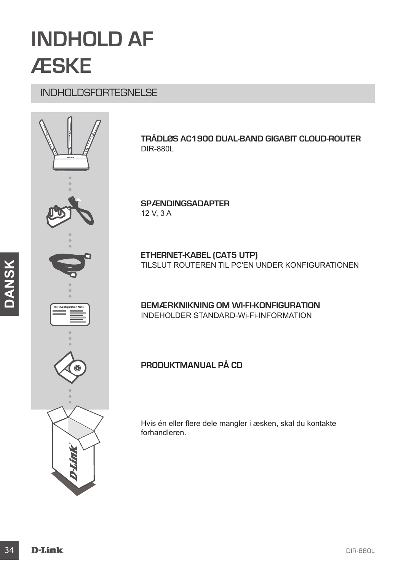## **INDHOLD AF ÆSKE**

## INDHOLDSFORTEGNELSE



**Trådløs AC1900 Dual-band gigabit Cloud-router**  DIR-880L

**SPÆNDINGSADAPTER** 12 V, 3 A

**ETHERNET-KABEL (CAT5 UTP)** TILSLUT ROUTEREN TIL PC'EN UNDER KONFIGURATIONEN

**BEMÆRKNIKNING OM Wi-Fi-KONFIGURATION** INDEHOLDER STANDARD-Wi-Fi-INFORMATION

#### **Produktmanual på CD**

Hvis én eller flere dele mangler i æsken, skal du kontakte forhandleren.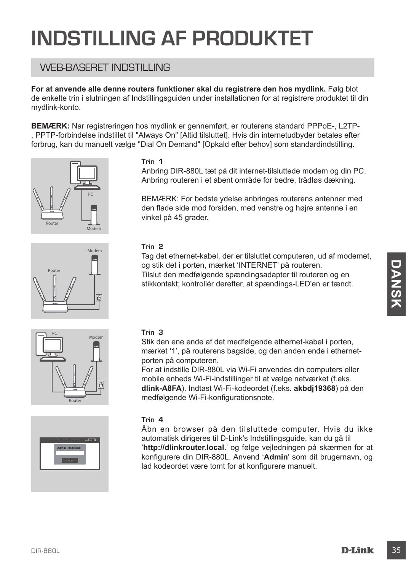## **INDSTILLING AF PRODUKTET**

### WFB-BASERET INDSTILLING

**For at anvende alle denne routers funktioner skal du registrere den hos mydlink.** Følg blot de enkelte trin i slutningen af Indstillingsguiden under installationen for at registrere produktet til din mydlink-konto.

**BEMÆRK:** Når registreringen hos mydlink er gennemført, er routerens standard PPPoE-, L2TP- , PPTP-forbindelse indstillet til "Always On" [Altid tilsluttet]. Hvis din internetudbyder betales efter forbrug, kan du manuelt vælge "Dial On Demand" [Opkald efter behov] som standardindstilling.









#### **Trin 1**

Anbring DIR-880L tæt på dit internet-tilsluttede modem og din PC. Anbring routeren i et åbent område for bedre, trådløs dækning.

BEMÆRK: For bedste ydelse anbringes routerens antenner med den flade side mod forsiden, med venstre og højre antenne i en vinkel på 45 grader.

#### **Trin 2**

Tag det ethernet-kabel, der er tilsluttet computeren, ud af modemet, og stik det i porten, mærket 'INTERNET' på routeren. Tilslut den medfølgende spændingsadapter til routeren og en stikkontakt; kontrollér derefter, at spændings-LED'en er tændt.

#### **Trin 3**

Stik den ene ende af det medfølgende ethernet-kabel i porten, mærket '1', på routerens bagside, og den anden ende i ethernetporten på computeren.

For at indstille DIR-880L via Wi-Fi anvendes din computers eller mobile enheds Wi-Fi-indstillinger til at vælge netværket (f.eks. **dlink-A8FA**). Indtast Wi-Fi-kodeordet (f.eks. **akbdj19368**) på den medfølgende Wi-Fi-konfigurationsnote.

#### **Trin 4**

og stik det i protect i NITERNETT på routern.<br>
Tislut den medfølgende spændingsadapter til routeren og en<br>
stikkortakt, kontrollér derefter, at spændings-LED'en er tændt.<br>
DIR-880L via Pierre bagside, og den anden ende i e Åbn en browser på den tilsluttede computer. Hvis du ikke automatisk dirigeres til D-Link's Indstillingsguide, kan du gå til '**http://dlinkrouter.local.**' og følge vejledningen på skærmen for at konfigurere din DIR-880L. Anvend '**Admin**' som dit brugernavn, og lad kodeordet være tomt for at konfigurere manuelt.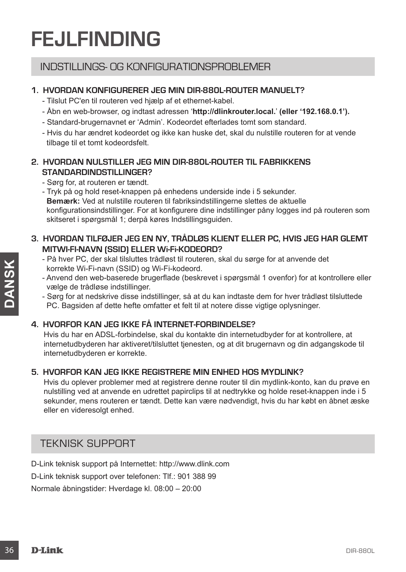## **FEJLFINDING**

### INDSTILLINGS- OG KONFIGURATIONSPROBLEMER

#### **1. HVORDAN KONFIGURERER JEG MIN DIR-880L-ROUTER manuelt?**

- Tilslut PC'en til routeren ved hjælp af et ethernet-kabel.
- Åbn en web-browser, og indtast adressen '**http://dlinkrouter.local.**' **(eller '192.168.0.1').**
- Standard-brugernavnet er 'Admin'. Kodeordet efterlades tomt som standard.
- Hvis du har ændret kodeordet og ikke kan huske det, skal du nulstille routeren for at vende tilbage til et tomt kodeordsfelt.

#### **2. HVORDAN NULSTILLER JEG MIN DIR-880L-ROUTER TIL FABRIKKENS STANDARDINDSTILLINGER?**

- Sørg for, at routeren er tændt.
- Tryk på og hold reset-knappen på enhedens underside inde i 5 sekunder. **Bemærk:** Ved at nulstille routeren til fabriksindstillingerne slettes de aktuelle konfigurationsindstillinger. For at konfigurere dine indstillinger påny logges ind på routeren som skitseret i spørgsmål 1; derpå køres Indstillingsguiden.

#### **3. HVORDAN TILFØJER JEG EN NY, TRÅDLØS KLIENT ELLER PC, HVIS JEG HAR GLEMT MITWI-FI-NAVN (SSID) ELLER Wi-Fi-KODEORD?**

- På hver PC, der skal tilsluttes trådløst til routeren, skal du sørge for at anvende det korrekte Wi-Fi-navn (SSID) og Wi-Fi-kodeord.
- Anvend den web-baserede brugerflade (beskrevet i spørgsmål 1 ovenfor) for at kontrollere eller vælge de trådløse indstillinger.
- Sørg for at nedskrive disse indstillinger, så at du kan indtaste dem for hver trådløst tilsluttede PC. Bagsiden af dette hefte omfatter et felt til at notere disse vigtige oplysninger.

#### **4. HVORFOR KAN JEG IKKE FÅ INTERNET-FORBINDELSE?**

Hvis du har en ADSL-forbindelse, skal du kontakte din internetudbyder for at kontrollere, at internetudbyderen har aktiveret/tilsluttet tjenesten, og at dit brugernavn og din adgangskode til internetudbyderen er korrekte.

#### **5. HVORFOR KAN JEG IKKE REGISTRERE MIN ENHED HOS MYDLINK?**

Fractive Price in Constrained a statistic statistic statistic of the statistic of the statistic of the statistic of the statistic of the statistic of the statistic defining the attack defining the statistic of the statis Hvis du oplever problemer med at registrere denne router til din mydlink-konto, kan du prøve en nulstilling ved at anvende en udrettet papirclips til at nedtrykke og holde reset-knappen inde i 5 sekunder, mens routeren er tændt. Dette kan være nødvendigt, hvis du har købt en åbnet æske eller en videresolgt enhed.

### TEKNISK SUPPORT

D-Link teknisk support på Internettet: http://www.dlink.com D-Link teknisk support over telefonen: Tlf.: 901 388 99 Normale åbningstider: Hverdage kl. 08:00 – 20:00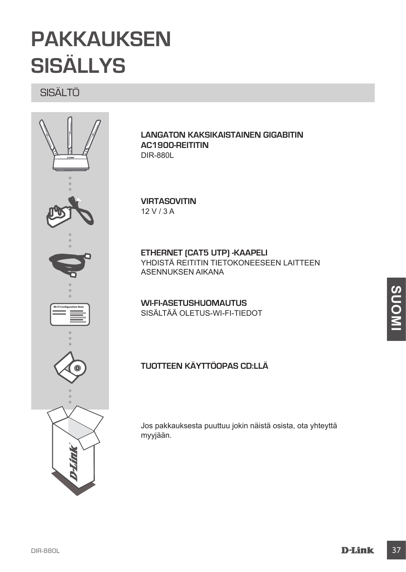## **PAKKAUKSEN SISÄLLYS**

SISÄLTÖ



**Langaton kaksikaistainen gigabitin AC1900-reititin** DIR-880L

#### **VIRTASOVITIN** 12 V / 3 A

**ETHERNET (CAT5 UTP) -KAAPELI** YHDISTÄ REITITIN TIETOKONEESEEN LAITTEEN ASENNUKSEN AIKANA

**WI-FI-ASETUSHUOMAUTUS** SISÄLTÄÄ OLETUS-WI-FI-TIEDOT

#### **Tuotteen käyttöopas CD:llä**

Jos pakkauksesta puuttuu jokin näistä osista, ota yhteyttä myyjään.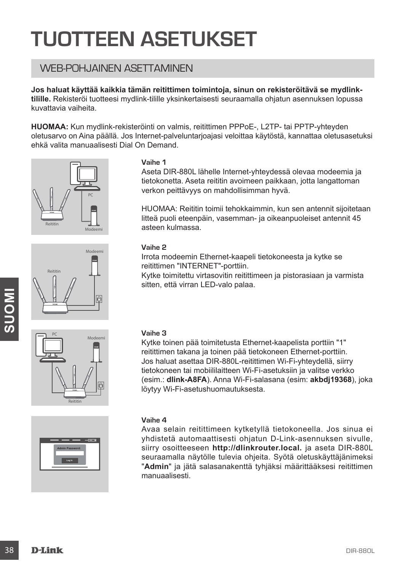## **TUOTTEEN ASETUKSET**

## WEB-POHJAINEN ASETTAMINEN

**Jos haluat käyttää kaikkia tämän reitittimen toimintoja, sinun on rekisteröitävä se mydlinktilille.** Rekisteröi tuotteesi mydlink-tilille yksinkertaisesti seuraamalla ohjatun asennuksen lopussa kuvattavia vaiheita.

**HUOMAA:** Kun mydlink-rekisteröinti on valmis, reitittimen PPPoE-, L2TP- tai PPTP-yhteyden oletusarvo on Aina päällä. Jos Internet-palveluntarjoajasi veloittaa käytöstä, kannattaa oletusasetuksi ehkä valita manuaalisesti Dial On Demand.









#### **Vaihe 1**

Aseta DIR-880L lähelle Internet-yhteydessä olevaa modeemia ja tietokonetta. Aseta reititin avoimeen paikkaan, jotta langattoman verkon peittävyys on mahdollisimman hyvä.

HUOMAA: Reititin toimii tehokkaimmin, kun sen antennit sijoitetaan litteä puoli eteenpäin, vasemman- ja oikeanpuoleiset antennit 45 asteen kulmassa.

#### **Vaihe 2**

Irrota modeemin Ethernet-kaapeli tietokoneesta ja kytke se reitittimen "INTERNET"-porttiin.

Kytke toimitettu virtasovitin reitittimeen ja pistorasiaan ja varmista sitten, että virran LED-valo palaa.

#### **Vaihe 3**

Kytke toinen pää toimitetusta Ethernet-kaapelista porttiin "1" reitittimen takana ja toinen pää tietokoneen Ethernet-porttiin. Jos haluat asettaa DIR-880L-reitittimen Wi-Fi-yhteydellä, siirry tietokoneen tai mobiililaitteen Wi-Fi-asetuksiin ja valitse verkko (esim.: **dlink-A8FA**). Anna Wi-Fi-salasana (esim: **akbdj19368**), joka löytyy Wi-Fi-asetushuomautuksesta.

#### **Vaihe 4**

**Example 18 DIR-880**<br> **38 D-Link**<br> **38 D-Link**<br> **38 D-Link**<br> **38 D-Link**<br> **38 D-Link**<br> **38 D-Link**<br> **38 D-Link**<br> **38 D-Link**<br> **38 D-Link**<br> **38**<br> **38**<br> **38**<br> **38**<br> **38**<br> **38**<br> **38**<br> **38**<br> **38**<br> **38**<br> **38**<br> **38**<br> **38**<br> **38**<br> Avaa selain reitittimeen kytketyllä tietokoneella. Jos sinua ei yhdistetä automaattisesti ohjatun D-Link-asennuksen sivulle, siirry osoitteeseen **http://dlinkrouter.local.** ja aseta DIR-880L seuraamalla näytölle tulevia ohjeita. Syötä oletuskäyttäjänimeksi "**Admin**" ja jätä salasanakenttä tyhjäksi määrittääksesi reitittimen manuaalisesti.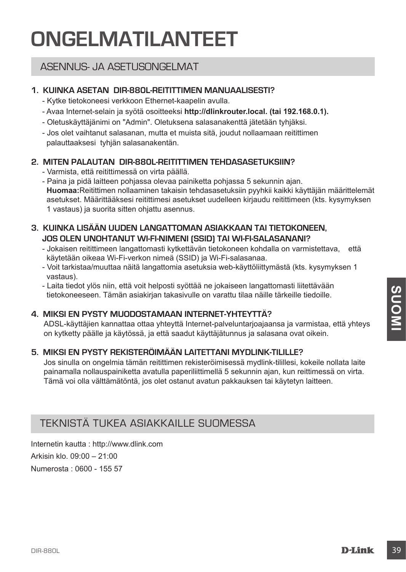## **ONGELMATILANTEET**

### ASENNUS- JA ASETUSONGELMAT

#### **1. KUINKA ASETAN DIR-880L-REITITTIMEN manuaalisesti?**

- Kytke tietokoneesi verkkoon Ethernet-kaapelin avulla.
- Avaa Internet-selain ja syötä osoitteeksi **http://dlinkrouter.local. (tai 192.168.0.1).**
- Oletuskäyttäjänimi on "Admin". Oletuksena salasanakenttä jätetään tyhjäksi.
- Jos olet vaihtanut salasanan, mutta et muista sitä, joudut nollaamaan reitittimen palauttaaksesi tyhjän salasanakentän.

#### **2. MITEN PALAUTAN DIR-880L-REITITTIMEN TEHDASASETUKSIIN?**

- Varmista, että reitittimessä on virta päällä.
- Paina ja pidä laitteen pohjassa olevaa painiketta pohjassa 5 sekunnin ajan. **Huomaa:**Reitittimen nollaaminen takaisin tehdasasetuksiin pyyhkii kaikki käyttäjän määrittelemät asetukset. Määrittääksesi reitittimesi asetukset uudelleen kirjaudu reitittimeen (kts. kysymyksen 1 vastaus) ja suorita sitten ohjattu asennus.

#### **3. KUINKA LISÄÄN UUDEN LANGATTOMAN ASIAKKAAN TAI TIETOKONEEN, JOS OLEN UNOHTANUT WI-FI-NIMENI (SSID) TAI WI-FI-SALASANANI?**

- Jokaisen reitittimeen langattomasti kytkettävän tietokoneen kohdalla on varmistettava, että käytetään oikeaa Wi-Fi-verkon nimeä (SSID) ja Wi-Fi-salasanaa.
- Voit tarkistaa/muuttaa näitä langattomia asetuksia web-käyttöliittymästä (kts. kysymyksen 1 vastaus).
- Laita tiedot ylös niin, että voit helposti syöttää ne jokaiseen langattomasti liitettävään tietokoneeseen. Tämän asiakirjan takasivulle on varattu tilaa näille tärkeille tiedoille.

#### **4. MIKSI EN PYSTY MUODOSTAMAAN INTERNET-YHTEYTTÄ?**

ADSL-käyttäjien kannattaa ottaa yhteyttä Internet-palveluntarjoajaansa ja varmistaa, että yhteys on kytketty päälle ja käytössä, ja että saadut käyttäjätunnus ja salasana ovat oikein.

#### **5. MIKSI EN PYSTY REKISTERÖIMÄÄN LAITETTANI MYDLINK-TILILLE?**

<sup>2</sup> Land ateuty nois<sup>1</sup> min; eus voit inejous syoual ne ponsaser nangatomals mencavaser.<br>
4. MIKSI EN PYSTY MUODOSTAMAAN INTERNET-YHTEYTTÄ?<br>
4. ADSL-käyttäjäen kannatta ottaa yhteyttä Internet-pakveluntarjoojaansa ja varm Jos sinulla on ongelmia tämän reitittimen rekisteröimisessä mydlink-tilillesi, kokeile nollata laite painamalla nollauspainiketta avatulla paperiliittimellä 5 sekunnin ajan, kun reittimessä on virta. Tämä voi olla välttämätöntä, jos olet ostanut avatun pakkauksen tai käytetyn laitteen.

### TEKNISTÄ TUKEA ASIAKKAILLE SUOMESSA

Internetin kautta : http://www.dlink.com Arkisin klo. 09:00 – 21:00 Numerosta : 0600 - 155 57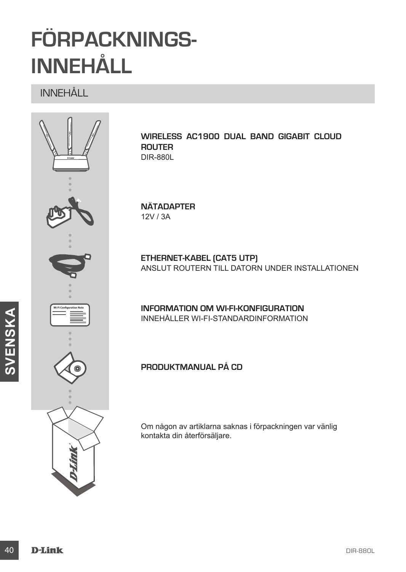## **FÖRPACKNINGS-INNEHÅLL**

INNEHÅLL



**Wireless AC1900 Dual Band Gigabit Cloud Router** DIR-880L

**NÄTADAPTER** 12V / 3A

**ETHERNET-KABEL (CAT5 UTP)** ANSLUT ROUTERN TILL DATORN UNDER INSTALLATIONEN

**INFORMATION OM WI-FI-KONFIGURATION** INNEHÅLLER WI-FI-STANDARDINFORMATION

**Produktmanual på CD**

Om någon av artiklarna saknas i förpackningen var vänlig kontakta din återförsäljare.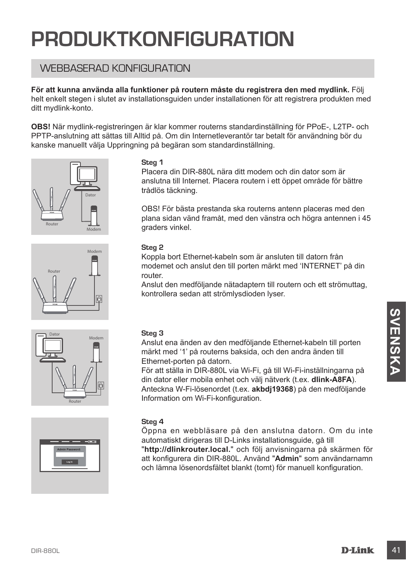## **PRODUKTKONFIGURATION**

## WEBBASERAD KONFIGURATION

**För att kunna använda alla funktioner på routern måste du registrera den med mydlink.** Följ helt enkelt stegen i slutet av installationsguiden under installationen för att registrera produkten med ditt mydlink-konto.

**OBS!** När mydlink-registreringen är klar kommer routerns standardinställning för PPoE-, L2TP- och PPTP-anslutning att sättas till Alltid på. Om din Internetleverantör tar betalt för användning bör du kanske manuellt välja Uppringning på begäran som standardinställning.









#### **Steg 1**

Placera din DIR-880L nära ditt modem och din dator som är anslutna till Internet. Placera routern i ett öppet område för bättre trådlös täckning.

OBS! För bästa prestanda ska routerns antenn placeras med den plana sidan vänd framåt, med den vänstra och högra antennen i 45 graders vinkel.

#### **Steg 2**

Koppla bort Ethernet-kabeln som är ansluten till datorn från modemet och anslut den till porten märkt med 'INTERNET' på din router.

Anslut den medföljande nätadaptern till routern och ett strömuttag, kontrollera sedan att strömlysdioden lyser.

#### **Steg 3**

Anslut ena änden av den medföljande Ethernet-kabeln till porten märkt med '1' på routerns baksida, och den andra änden till Ethernet-porten på datorn.

För att ställa in DIR-880L via Wi-Fi, gå till Wi-Fi-inställningarna på din dator eller mobila enhet och välj nätverk (t.ex. **dlink-A8FA**). Anteckna W-Fi-lösenordet (t.ex. **akbdj19368**) på den medföljande Information om Wi-Fi-konfiguration.

#### **Steg 4**

Steg 3<br>
Maskut ena anden av den medföljande Ethernet-kabeln till porten<br>
markit med '1' på routerns baksida, och den andra änden till<br>
Erbernet-borten på datorn.<br>
For att ställa in DIR-880L via Wi-F-i, gå till Wi-Fi-instäl Öppna en webbläsare på den anslutna datorn. Om du inte automatiskt dirigeras till D-Links installationsguide, gå till "**http://dlinkrouter.local.**" och följ anvisningarna på skärmen för att konfigurera din DIR-880L. Använd "**Admin**" som användarnamn och lämna lösenordsfältet blankt (tomt) för manuell konfiguration.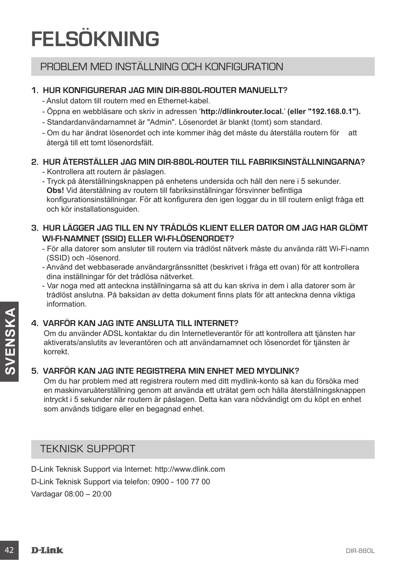## **FELSÖKNING**

### PROBLEM MED INSTÄLLNING OCH KONFIGURATION

#### **1. HUR KONFIGURERAR JAG MIN DIR-880L-ROUTER manuellt?**

- Anslut datorn till routern med en Ethernet-kabel.
- Öppna en webbläsare och skriv in adressen '**http://dlinkrouter.local.**' **(eller "192.168.0.1").**
- Standardanvändarnamnet är "Admin". Lösenordet är blankt (tomt) som standard.
- Om du har ändrat lösenordet och inte kommer ihåg det måste du återställa routern för att återgå till ett tomt lösenordsfält.

#### **2. HUR ÅTERSTÄLLER JAG MIN DIR-880L-ROUTER TILL FABRIKSINSTÄLLNINGARNA?**

- Kontrollera att routern är påslagen.
- Tryck på återställningsknappen på enhetens undersida och håll den nere i 5 sekunder. **Obs!** Vid återställning av routern till fabriksinställningar försvinner befintliga konfigurationsinställningar. För att konfigurera den igen loggar du in till routern enligt fråga ett och kör installationsguiden.

#### **3. HUR LÄGGER JAG TILL EN NY TRÅDLÖS KLIENT ELLER DATOR OM JAG HAR GLÖMT WI-FI-NAMNET (SSID) ELLER WI-FI-LÖSENORDET?**

- För alla datorer som ansluter till routern via trådlöst nätverk måste du använda rätt Wi-Fi-namn (SSID) och -lösenord.
- Använd det webbaserade användargränssnittet (beskrivet i fråga ett ovan) för att kontrollera dina inställningar för det trådlösa nätverket.
- Var noga med att anteckna inställningarna så att du kan skriva in dem i alla datorer som är trådlöst anslutna. På baksidan av detta dokument finns plats för att anteckna denna viktiga information.

#### **4. VARFÖR KAN JAG INTE ANSLUTA TILL INTERNET?**

Om du använder ADSL kontaktar du din Internetleverantör för att kontrollera att tjänsten har aktiverats/anslutits av leverantören och att användarnamnet och lösenordet för tjänsten är korrekt.

#### **5. VARFÖR KAN JAG INTE REGISTRERA MIN ENHET MED MYDLINK?**

**Example 12 DENTRE ANSLUTA TILL INTERNET?**<br>
22 Om du använder ADSL kontaktar du din Internetteverantör för att kontrollera att tjänsten har<br>
aktiveratskansluttis av leverantören och att användamammet och lösenordet för tj Om du har problem med att registrera routern med ditt mydlink-konto så kan du försöka med en maskinvaruåterställning genom att använda ett uträtat gem och hålla återställningsknappen intryckt i 5 sekunder när routern är påslagen. Detta kan vara nödvändigt om du köpt en enhet som används tidigare eller en begagnad enhet.

### TEKNISK SUPPORT

D-Link Teknisk Support via Internet: http://www.dlink.com D-Link Teknisk Support via telefon: 0900 - 100 77 00 Vardagar 08:00 – 20:00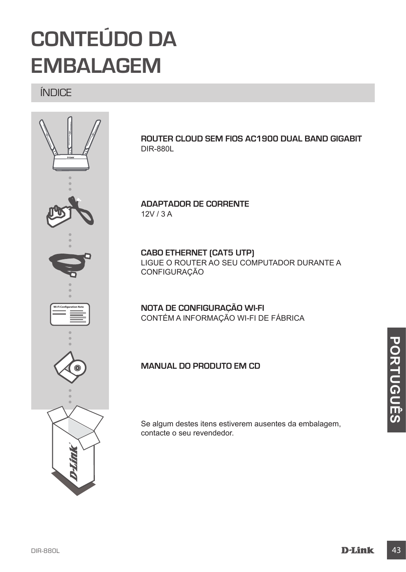

## **CONTEÚDO DA EMBALAGEM**

ÍNDICE



**Router Cloud Sem Fios AC1900 Dual Band Gigabit**  DIR-880L

**ADAPTADOR DE CORRENTE** 12V / 3 A

**CABO ETHERNET (CAT5 UTP)** LIGUE O ROUTER AO SEU COMPUTADOR DURANTE A CONFIGURAÇÃO

**NOTA DE CONFIGURAÇÃO Wi-Fi** CONTÉM A INFORMAÇÃO WI-FI DE FÁBRICA

**Manual do produto em CD**

Se algum destes itens estiverem ausentes da embalagem, contacte o seu revendedor.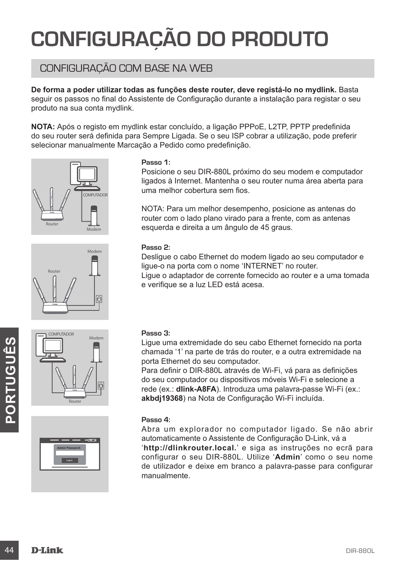## **CONFIGURAÇÃO DO PRODUTO**

## CONFIGURAÇÃO COM BASE NA WEB

**De forma a poder utilizar todas as funções deste router, deve registá-lo no mydlink.** Basta seguir os passos no final do Assistente de Configuração durante a instalação para registar o seu produto na sua conta mydlink.

**NOTA:** Após o registo em mydlink estar concluído, a ligação PPPoE, L2TP, PPTP predefinida do seu router será definida para Sempre Ligada. Se o seu ISP cobrar a utilização, pode preferir selecionar manualmente Marcação a Pedido como predefinição.









#### **Passo 1:**

Posicione o seu DIR-880L próximo do seu modem e computador ligados à Internet. Mantenha o seu router numa área aberta para uma melhor cobertura sem fios.

NOTA: Para um melhor desempenho, posicione as antenas do router com o lado plano virado para a frente, com as antenas esquerda e direita a um ângulo de 45 graus.

#### **Passo 2:**

Desligue o cabo Ethernet do modem ligado ao seu computador e ligue-o na porta com o nome 'INTERNET' no router. Ligue o adaptador de corrente fornecido ao router e a uma tomada e verifique se a luz LED está acesa.

#### **Passo 3:**

Ligue uma extremidade do seu cabo Ethernet fornecido na porta chamada '1' na parte de trás do router, e a outra extremidade na porta Ethernet do seu computador.

Para definir o DIR-880L através de Wi-Fi, vá para as definições do seu computador ou dispositivos móveis Wi-Fi e selecione a rede (ex.: **dlink-A8FA**). Introduza uma palavra-passe Wi-Fi (ex.: **akbdj19368**) na Nota de Configuração Wi-Fi incluída.

#### **Passo 4:**

do seu computador ou dispositivos móveis Wi-Fi e selecione a<br>rede (ex.: dihit-ABFA). Introduza uma palavra-passe Wi-Fi (ex.:<br>akbdj19368) na Nota de Configuração Wi-Fi incluída.<br>Passo 4:<br>Abra um explorador no computador lig Abra um explorador no computador ligado. Se não abrir automaticamente o Assistente de Configuração D-Link, vá a '**http://dlinkrouter.local.**' e siga as instruções no ecrã para configurar o seu DIR-880L. Utilize '**Admin**' como o seu nome de utilizador e deixe em branco a palavra-passe para configurar manualmente.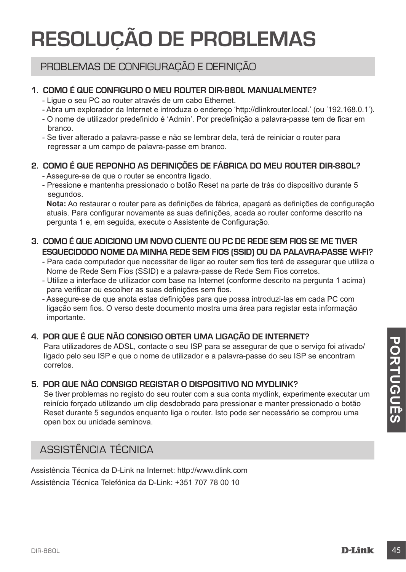## **RESOLUÇÃO DE PROBLEMAS**

### PROBLEMAS DE CONFIGURAÇÃO E DEFINIÇÃO

#### **1. COMO É QUE CONFIGURO O MEU ROUTER DIR-880L Manualmente?**

- Ligue o seu PC ao router através de um cabo Ethernet.
- Abra um explorador da Internet e introduza o endereço 'http://dlinkrouter.local.' (ou '192.168.0.1').
- O nome de utilizador predefinido é 'Admin'. Por predefinição a palavra-passe tem de ficar em branco.
- Se tiver alterado a palavra-passe e não se lembrar dela, terá de reiniciar o router para regressar a um campo de palavra-passe em branco.

#### **2. COMO É QUE REPONHO AS DEFINIÇÕES DE FÁBRICA DO MEU ROUTER DIR-880L?**

- Assegure-se de que o router se encontra ligado.
- Pressione e mantenha pressionado o botão Reset na parte de trás do dispositivo durante 5 segundos.

**Nota:** Ao restaurar o router para as definições de fábrica, apagará as definições de configuração atuais. Para configurar novamente as suas definições, aceda ao router conforme descrito na pergunta 1 e, em seguida, execute o Assistente de Configuração.

#### **3. COMO É QUE ADICIONO UM NOVO CLIENTE OU PC DE REDE SEM FIOS SE ME TIVER ESQUECIDODO NOME DA MINHA REDE SEM FIOS (SSID) OU DA PALAVRA-PASSE WI-FI?**

- Para cada computador que necessitar de ligar ao router sem fios terá de assegurar que utiliza o Nome de Rede Sem Fios (SSID) e a palavra-passe de Rede Sem Fios corretos.

- Utilize a interface de utilizador com base na Internet (conforme descrito na pergunta 1 acima) para verificar ou escolher as suas definições sem fios.
- Assegure-se de que anota estas definições para que possa introduzi-las em cada PC com ligação sem fios. O verso deste documento mostra uma área para registar esta informação importante.

#### **4. POR QUE É QUE NÃO CONSIGO OBTER UMA LIGAÇÃO DE INTERNET?**

Para utilizadores de ADSL, contacte o seu ISP para se assegurar de que o serviço foi ativado/ ligado pelo seu ISP e que o nome de utilizador e a palavra-passe do seu ISP se encontram corretos.

#### **5. POR QUE NÃO CONSIGO REGISTAR O DISPOSITIVO NO MYDLINK?**

**En autilizadores de ADSL, contacte o seu ISP para se assegurar de que o serviço foi ativado/<br>
Igado pelo seu ISP e que o nome de utilizador e a palavra-passe do seu ISP se encontram<br>
Correto.<br>
DIR-DIR-NÃO CONSIGO REGIST** Se tiver problemas no registo do seu router com a sua conta mydlink, experimente executar um reinício forçado utilizando um clip desdobrado para pressionar e manter pressionado o botão Reset durante 5 segundos enquanto liga o router. Isto pode ser necessário se comprou uma open box ou unidade seminova.

## ASSISTÊNCIA TÉCNICA

Assistência Técnica da D-Link na Internet: http://www.dlink.com Assistência Técnica Telefónica da D-Link: +351 707 78 00 10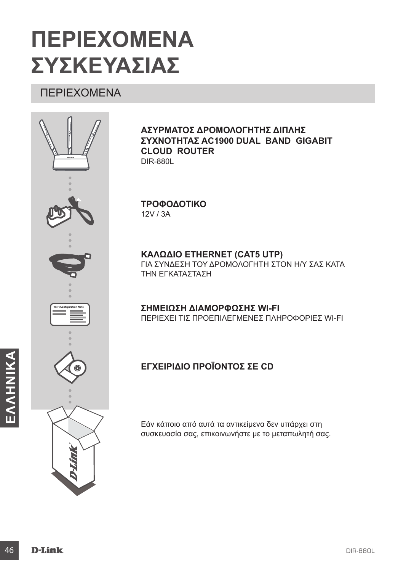## **ΠΕΡΙΕΧΟΜΕΝΑ ΣΥΣΚΕΥΑΣΙΑΣ**

## ΠΕΡΙΕΧΟΜΕΝΑ



#### **Ασύρματος δρομολογητής διπλής συχνότητας AC1900 Dual Band Gigabit Cloud Router**  DIR-880L

**ΤΡΟΦΟΔΟΤΙΚΟ** 12V / 3A

**ΚΑΛΩΔΙΟ ETHERNET (CAT5 UTP)** ΓΙΑ ΣΥΝΔΕΣΗ ΤΟΥ ΔΡΟΜΟΛΟΓΗΤΗ ΣΤΟΝ Η/Υ ΣΑΣ ΚΑΤΑ ΤΗΝ ΕΓΚΑΤΑΣΤΑΣΗ

**ΣΗΜΕΙΩΣΗ ΔΙΑΜΟΡΦΩΣΗΣ Wi-Fi** ΠΕΡΙΕΧΕΙ ΤΙΣ ΠΡΟΕΠΙΛΕΓΜΕΝΕΣ ΠΛΗΡΟΦΟΡΙΕΣ WI-FI

### **Εγχειρίδιο προϊόντος σε CD**

Εάν κάποιο από αυτά τα αντικείμενα δεν υπάρχει στη συσκευασία σας, επικοινωνήστε με το μεταπωλητή σας.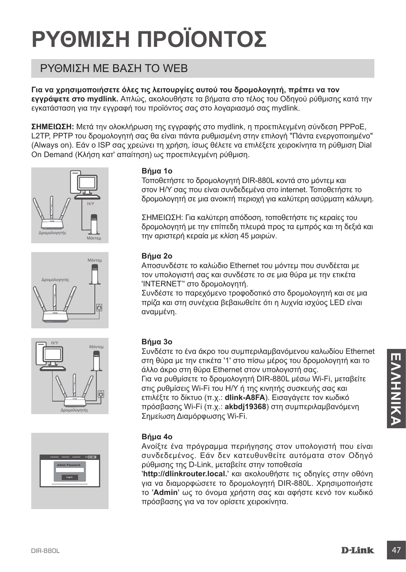# **ΡΥΘΜΙΣΗ ΠΡΟΪΟΝΤΟΣ**

## ΡΥΘΜΙΣΗ ΜΕ ΒΑΣΗ ΤΟ WEB

**Για να χρησιμοποιήσετε όλες τις λειτουργίες αυτού του δρομολογητή, πρέπει να τον εγγράψετε στο mydlink.** Απλώς, ακολουθήστε τα βήματα στο τέλος του Οδηγού ρύθμισης κατά την εγκατάσταση για την εγγραφή του προϊόντος σας στο λογαριασμό σας mydlink.

**ΣΗΜΕΙΩΣΗ:** Μετά την ολοκλήρωση της εγγραφής στο mydlink, η προεπιλεγμένη σύνδεση PPPoE, L2TP, PPTP του δρομολογητή σας θα είναι πάντα ρυθμισμένη στην επιλογή "Πάντα ενεργοποιημένο" (Always on). Εάν ο ISP σας χρεώνει τη χρήση, ίσως θέλετε να επιλέξετε χειροκίνητα τη ρύθμιση Dial On Demand (Κλήση κατ' απαίτηση) ως προεπιλεγμένη ρύθμιση.









#### **Βήμα 1ο**

Τοποθετήστε το δρομολογητή DIR-880L κοντά στο μόντεμ και στον Η/Υ σας που είναι συνδεδεμένα στο internet. Τοποθετήστε το δρομολογητή σε μια ανοικτή περιοχή για καλύτερη ασύρματη κάλυψη.

ΣΗΜΕΙΩΣΗ: Για καλύτερη απόδοση, τοποθετήστε τις κεραίες του δρομολογητή με την επίπεδη πλευρά προς τα εμπρός και τη δεξιά και την αριστερή κεραία με κλίση 45 μοιρών.

#### **Βήμα 2ο**

Αποσυνδέστε το καλώδιο Ethernet του μόντεμ που συνδέεται με τον υπολογιστή σας και συνδέστε το σε μια θύρα με την ετικέτα 'INTERNET'' στο δρομολογητή.

Συνδέστε το παρεχόμενο τροφοδοτικό στο δρομολογητή και σε μια πρίζα και στη συνέχεια βεβαιωθείτε ότι η λυχνία ισχύος LED είναι αναμμένη.

#### **Βήμα 3ο**

στη θύρα με την επικέτα 11 στο πίσω μέρος του δρομολογητή και το<br>
αλλο άκρο στη θύρα Ειτηκείτα 11 στο πίσω μέρος του δρομολογητή και το<br>
Για να ρυθμίσεις Wi-Fi του H/Y ή της κινητής συσκευής σας και<br>
πικέτε το δρομολογητή Συνδέστε το ένα άκρο του συμπεριλαμβανόμενου καλωδίου Ethernet στη θύρα με την ετικέτα '1' στο πίσω μέρος του δρομολογητή και το άλλο άκρο στη θύρα Ethernet στον υπολογιστή σας. Για να ρυθμίσετε το δρομολογητή DIR-880L μέσω Wi-Fi, μεταβείτε στις ρυθμίσεις Wi-Fi του H/Y ή της κινητής συσκευής σας και επιλέξτε το δίκτυο (π.χ.: **dlink-A8FA**). Εισαγάγετε τον κωδικό πρόσβασης Wi-Fi (π.χ.: **akbdj19368**) στη συμπεριλαμβανόμενη Σημείωση Διαμόρφωσης Wi-Fi.

#### **Βήμα 4ο**

Ανοίξτε ένα πρόγραμμα περιήγησης στον υπολογιστή που είναι συνδεδεμένος. Εάν δεν κατευθυνθείτε αυτόματα στον Οδηγό ρύθμισης της D-Link, μεταβείτε στην τοποθεσία

'**http://dlinkrouter.local.**' και ακολουθήστε τις οδηγίες στην οθόνη για να διαμορφώσετε το δρομολογητή DIR-880L. Χρησιμοποιήστε το '**Admin**' ως το όνομα χρήστη σας και αφήστε κενό τον κωδικό πρόσβασης για να τον ορίσετε χειροκίνητα.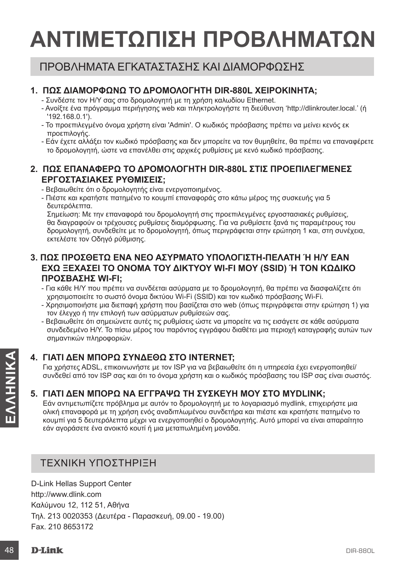## **ΑΝΤΙΜΕΤΩΠΙΣΗ ΠΡΟΒΛΗΜΑΤΩΝ**

## ΠΡΟΒΛΗΜΑΤΑ ΕΓΚΑΤΑΣΤΑΣΗΣ ΚΑΙ ΔΙΑΜΟΡΦΩΣΗΣ

#### **1. ΠΩΣ ΔΙΑΜΟΡΦΩΝΩ ΤΟ ΔΡΟΜΟΛΟΓΗΤΗ DIR-880L χειροκίνητα;**

- Συνδέστε τον Η/Υ σας στο δρομολογητή με τη χρήση καλωδίου Ethernet.
- Ανοίξτε ένα πρόγραμμα περιήγησης web και πληκτρολογήστε τη διεύθυνση 'http://dlinkrouter.local.' (ή '192.168.0.1').
- Το προεπιλεγμένο όνομα χρήστη είναι 'Admin'. Ο κωδικός πρόσβασης πρέπει να μείνει κενός εκ προεπιλογής.
- Εάν έχετε αλλάξει τον κωδικό πρόσβασης και δεν μπορείτε να τον θυμηθείτε, θα πρέπει να επαναφέρετε το δρομολογητή, ώστε να επανέλθει στις αρχικές ρυθμίσεις με κενό κωδικό πρόσβασης.

#### **2. ΠΩΣ ΕΠΑΝΑΦΕΡΩ ΤΟ ΔΡΟΜΟΛΟΓΗΤΗ DIR-880L ΣΤΙΣ ΠΡΟΕΠΙΛΕΓΜΕΝΕΣ ΕΡΓΟΣΤΑΣΙΑΚΕΣ ΡΥΘΜΙΣΕΙΣ;**

- Βεβαιωθείτε ότι ο δρομολογητής είναι ενεργοποιημένος.

- Πιέστε και κρατήστε πατημένο το κουμπί επαναφοράς στο κάτω μέρος της συσκευής για 5 δευτερόλεπτα.

Σημείωση: Με την επαναφορά του δρομολογητή στις προεπιλεγμένες εργοστασιακές ρυθμίσεις, θα διαγραφούν οι τρέχουσες ρυθμίσεις διαμόρφωσης. Για να ρυθμίσετε ξανά τις παραμέτρους του δρομολογητή, συνδεθείτε με το δρομολογητή, όπως περιγράφεται στην ερώτηση 1 και, στη συνέχεια, εκτελέστε τον Οδηγό ρύθμισης.

#### **3. ΠΩΣ ΠΡΟΣΘΕΤΩ ΕΝΑ ΝΕΟ ΑΣΥΡΜΑΤΟ ΥΠΟΛΟΓΙΣΤΗ-ΠΕΛΑΤΗ Ή Η/Υ ΕΑΝ ΕΧΩ ΞΕΧΑΣΕΙ ΤΟ ΟΝΟΜΑ ΤΟΥ ΔΙΚΤΥΟΥ WI-FI ΜΟΥ (SSID) Ή ΤΟΝ ΚΩΔΙΚΟ ΠΡΟΣΒΑΣΗΣ WI-FI;**

- Για κάθε Η/Υ που πρέπει να συνδέεται ασύρματα με το δρομολογητή, θα πρέπει να διασφαλίζετε ότι χρησιμοποιείτε το σωστό όνομα δικτύου Wi-Fi (SSID) και τον κωδικό πρόσβασης Wi-Fi.
- Χρησιμοποιήστε μια διεπαφή χρήστη που βασίζεται στο web (όπως περιγράφεται στην ερώτηση 1) για τον έλεγχο ή την επιλογή των ασύρματων ρυθμίσεών σας.
- Βεβαιωθείτε ότι σημειώνετε αυτές τις ρυθμίσεις ώστε να μπορείτε να τις εισάγετε σε κάθε ασύρματα συνδεδεμένο Η/Υ. Το πίσω μέρος του παρόντος εγγράφου διαθέτει μια περιοχή καταγραφής αυτών των σημαντικών πληροφοριών.

### **4. ΓΙΑΤΙ ΔΕΝ ΜΠΟΡΩ ΣΥΝΔΕΘΩ ΣΤΟ INTERNET;**

Για χρήστες ADSL, επικοινωνήστε με τον ISP για να βεβαιωθείτε ότι η υπηρεσία έχει ενεργοποιηθεί/ συνδεθεί από τον ISP σας και ότι το όνομα χρήστη και ο κωδικός πρόσβασης του ISP σας είναι σωστός.

#### **5. ΓΙΑΤΙ ΔΕΝ ΜΠΟΡΩ ΝΑ ΕΓΓΡΑΨΩ ΤΗ ΣΥΣΚΕΥΗ ΜΟΥ ΣΤΟ MYDLINK;**

4. ΓΙΑΤΙΔΕΝ ΜΠΟΡΩ ΣΥΝΔΕΘΩ ΣΤΟ INTERNET;<br>
Για χρήστες ADSL. επικοινωνήστε με τον ISP για να βεβαιωθείτε ότι η υπηρεσία έχει ενεργοποιηθεί/<br>
συνδεθεί από τον ISP σας και ότι το όνομα χρήστη και ο κωδικός πρόσβασης του ISP σ Εάν αντιμετωπίζετε πρόβλημα με αυτόν το δρομολογητή με το λογαριασμό mydlink, επιχειρήστε μια ολική επαναφορά με τη χρήση ενός αναδιπλωμένου συνδετήρα και πιέστε και κρατήστε πατημένο το κουμπί για 5 δευτερόλεπτα μέχρι να ενεργοποιηθεί ο δρομολογητής. Αυτό μπορεί να είναι απαραίτητο εάν αγοράσετε ένα ανοικτό κουτί ή μια μεταπωλημένη μονάδα.

### ΤΕΧΝΙΚΗ ΥΠΟΣΤΗΡΙΞΗ

D-Link Hellas Support Center http://www.dlink.com Καλύμνου 12, 112 51, Αθήνα Τηλ. 213 0020353 (Δευτέρα - Παρασκευή, 09.00 - 19.00) Fax. 210 8653172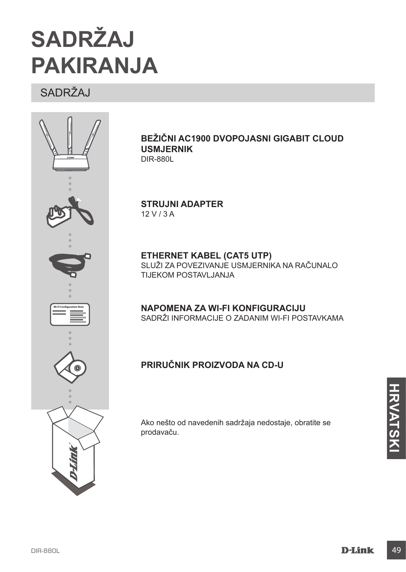

## **SADRŽAJ PAKIRANJA**

## SADRŽAJ



#### **Bežični AC1900 dvopojasni Gigabit Cloud usmjernik**  DIR-880L

**STRUJNI ADAPTER** 12 V / 3 A

**ETHERNET KABEL (CAT5 UTP)** SLUŽI ZA POVEZIVANJE USMJERNIKA NA RAČUNALO TIJEKOM POSTAVI JANJA

**NAPOMENA ZA WI-FI KONFIGURACIJU** SADRŽI INFORMACIJE O ZADANIM WI-FI POSTAVKAMA

### **Priručnik proizvoda na CD-u**

Ako nešto od navedenih sadržaja nedostaje, obratite se prodavaču.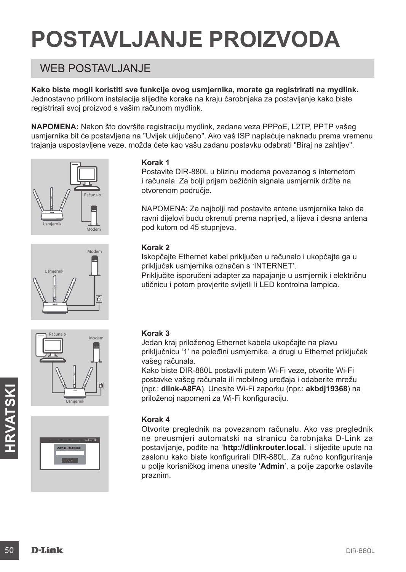# **POSTAVLJANJE PROIZVODA**

## WEB POSTAVI JANJE

**Kako biste mogli koristiti sve funkcije ovog usmjernika, morate ga registrirati na mydlink.**  Jednostavno prilikom instalacije slijedite korake na kraju čarobnjaka za postavljanje kako biste registrirali svoj proizvod s vašim računom mydlink.

**NAPOMENA:** Nakon što dovršite registraciju mydlink, zadana veza PPPoE, L2TP, PPTP vašeg usmjernika bit će postavljena na "Uvijek uključeno". Ako vaš ISP naplaćuje naknadu prema vremenu trajanja uspostavljene veze, možda ćete kao vašu zadanu postavku odabrati "Biraj na zahtjev".









#### **Korak 1**

Postavite DIR-880L u blizinu modema povezanog s internetom i računala. Za bolji prijam bežičnih signala usmjernik držite na otvorenom područje.

NAPOMENA: Za najbolji rad postavite antene usmjernika tako da ravni dijelovi budu okrenuti prema naprijed, a lijeva i desna antena pod kutom od 45 stupnjeva.

#### **Korak 2**

Iskopčajte Ethernet kabel priključen u računalo i ukopčajte ga u priključak usmjernika označen s 'INTERNET'.

Priključite isporučeni adapter za napajanje u usmjernik i električnu utičnicu i potom provjerite svijetli li LED kontrolna lampica.

#### **Korak 3**

Jedan kraj priloženog Ethernet kabela ukopčajte na plavu priključnicu '1' na poleđini usmjernika, a drugi u Ethernet priključak vašeg računala.

Kako biste DIR-880L postavili putem Wi-Fi veze, otvorite Wi-Fi postavke vašeg računala ili mobilnog uređaja i odaberite mrežu (npr.: **dlink-A8FA**). Unesite Wi-Fi zaporku (npr.: **akbdj19368**) na priloženoj napomeni za Wi-Fi konfiguraciju.

#### **Korak 4**

Franch (npr.: **dlink-A8FA**). Unesite Wi-Fi zaporku (npr.: **akbdj19368**) na<br>
priloženoj napomeni za Wi-Fi konfiguraciju.<br> **Korak 4**<br>
Otvorite preglednik na povezanom računalu. Ako vas preglednik<br>
ne preusimieri automatski n Otvorite preglednik na povezanom računalu. Ako vas preglednik ne preusmjeri automatski na stranicu čarobnjaka D-Link za postavljanje, pođite na '**http://dlinkrouter.local.**' i slijedite upute na zaslonu kako biste konfigurirali DIR-880L. Za ručno konfiguriranje u polje korisničkog imena unesite '**Admin**', a polje zaporke ostavite praznim.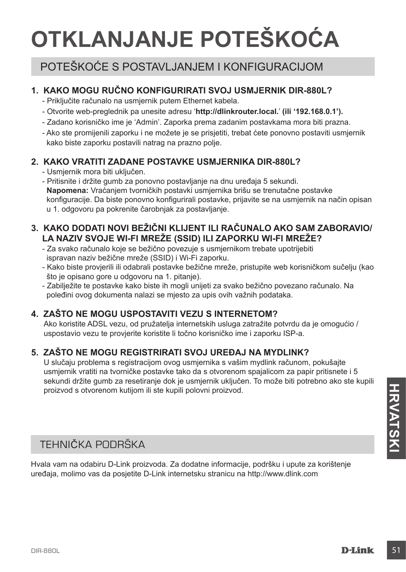# **OTKLANJANJE POTEŠKOĆA**

## POTEŠKOĆE S POSTAVLJANJEM I KONFIGURACIJOM

#### **1. KAKO MOGU ručno KONFIGURIRATI SVOJ USMJERNIK DIR-880L?**

- Priključite računalo na usmjernik putem Ethernet kabela.
- Otvorite web-preglednik pa unesite adresu '**http://dlinkrouter.local.**' **(ili '192.168.0.1').**
- Zadano korisničko ime je 'Admin'. Zaporka prema zadanim postavkama mora biti prazna.
- Ako ste promijenili zaporku i ne možete je se prisjetiti, trebat ćete ponovno postaviti usmjernik kako biste zaporku postavili natrag na prazno polje.

#### **2. KAKO VRATITI ZADANE POSTAVKE USMJERNIKA DIR-880L?**

- Usmjernik mora biti uključen.
- Pritisnite i držite gumb za ponovno postavljanje na dnu uređaja 5 sekundi. **Napomena:** Vraćanjem tvorničkih postavki usmjernika brišu se trenutačne postavke konfiguracije. Da biste ponovno konfigurirali postavke, prijavite se na usmjernik na način opisan u 1. odgovoru pa pokrenite čarobnjak za postavljanje.

#### **3. KAKO DODATI NOVI BEŽIČNI KLIJENT ILI RAČUNALO AKO SAM ZABORAVIO/ LA NAZIV SVOJE WI-FI MREŽE (SSID) ILI ZAPORKU WI-FI MREŽE?**

- Za svako računalo koje se bežično povezuje s usmjernikom trebate upotrijebiti ispravan naziv bežične mreže (SSID) i Wi-Fi zaporku.
- Kako biste provjerili ili odabrali postavke bežične mreže, pristupite web korisničkom sučelju (kao što je opisano gore u odgovoru na 1. pitanje).
- Zabilježite te postavke kako biste ih mogli unijeti za svako bežično povezano računalo. Na poleđini ovog dokumenta nalazi se mjesto za upis ovih važnih podataka.

### **4. ZAŠTO NE MOGU USPOSTAVITI VEZU S INTERNETOM?**

Ako koristite ADSL vezu, od pružatelja internetskih usluga zatražite potvrdu da je omogućio / uspostavio vezu te provjerite koristite li točno korisničko ime i zaporku ISP-a.

#### **5. ZAŠTO NE MOGU REGISTRIRATI SVOJ UREĐAJ NA MYDLINK?**

U slučaju problema s registracijom ovog usmjernika s vašim mydlink računom, pokušajte usmjernik vratiti na tvorničke postavke tako da s otvorenom spajalicom za papir pritisnete i 5 sekundi držite gumb za resetiranje dok je usmjernik uključen. To može biti potrebno ako ste kupili proizvod s otvorenom kutijom ili ste kupili polovni proizvod.

### TEHNIČKA PODRŠKA

proizvod s otvorenom kutijom ili ste kupili polovni proizvod.<br>
TEHNIČKA PODRŠKA<br>
Hvala vam na odabiru D-Link proizvoda. Za dodatne informacije, podršku i upute za korištenje<br>
uređaja, molimo vas da posjetite D-Link interne Hvala vam na odabiru D-Link proizvoda. Za dodatne informacije, podršku i upute za korištenje uređaja, molimo vas da posjetite D-Link internetsku stranicu na http://www.dlink.com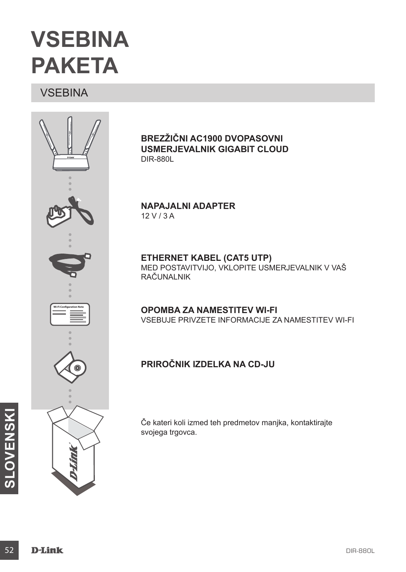## **VSEBINA PAKETA**

**VSEBINA** 



**Brezžični AC1900 dvopasovni usmerjevalnik Gigabit Cloud** DIR-880L

**NAPAJALNI ADAPTER** 12 V / 3 A

**ETHERNET KABEL (CAT5 UTP)** MED POSTAVITVIJO, VKLOPITE USMERJEVALNIK V VAŠ RAČUNALNIK

**OPOMBA ZA NAMESTITEV WI-FI** VSEBUJE PRIVZETE INFORMACIJE ZA NAMESTITEV WI-FI

### **Priročnik izdelka na CD-ju**

Če kateri koli izmed teh predmetov manjka, kontaktirajte svojega trgovca.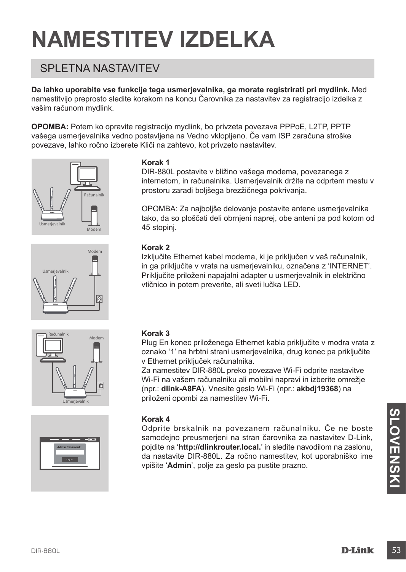# **NAMESTITEV IZDELKA**

## SPI FTNA NASTAVITEV

**Da lahko uporabite vse funkcije tega usmerjevalnika, ga morate registrirati pri mydlink.** Med namestitvijo preprosto sledite korakom na koncu Čarovnika za nastavitev za registracijo izdelka z vašim računom mydlink.

**OPOMBA:** Potem ko opravite registracijo mydlink, bo privzeta povezava PPPoE, L2TP, PPTP vašega usmerjevalnika vedno postavljena na Vedno vklopljeno. Če vam ISP zaračuna stroške povezave, lahko ročno izberete Kliči na zahtevo, kot privzeto nastavitev.









#### **Korak 1**

DIR-880L postavite v bližino vašega modema, povezanega z internetom, in računalnika. Usmerjevalnik držite na odprtem mestu v prostoru zaradi boljšega brezžičnega pokrivanja.

OPOMBA: Za najboljše delovanje postavite antene usmerjevalnika tako, da so ploščati deli obrnjeni naprej, obe anteni pa pod kotom od 45 stopinj.

#### **Korak 2**

Izključite Ethernet kabel modema, ki je priključen v vaš računalnik, in ga priključite v vrata na usmerjevalniku, označena z 'INTERNET'. Priključite priloženi napajalni adapter u usmerjevalnik in električno vtičnico in potem preverite, ali sveti lučka LED.

#### **Korak 3**

Plug En konec priloženega Ethernet kabla priključite v modra vrata z oznako '1' na hrbtni strani usmerjevalnika, drug konec pa priključite v Ethernet priključek računalnika.

Za namestitev DIR-880L preko povezave Wi-Fi odprite nastavitve Wi-Fi na vašem računalniku ali mobilni napravi in izberite omrežje (npr.: **dlink-A8FA**). Vnesite geslo Wi-Fi (npr.: **akbdj19368**) na priloženi opombi za namestitev Wi-Fi.

#### **Korak 4**

Korak 4<br>
Odprite brskalnik na povezanem računalniku. Če ne boste<br>
samodejno preusmerjeni na stran čarovnika za nastavite D-Link,<br>
pojdite na "http://dlinkrouter.local.' in sledite navodilom na zaslonu,<br>
vpišite 'Admin', po Odprite brskalnik na povezanem računalniku. Če ne boste samodeino preusmerieni na stran čarovnika za nastavitev D-Link, pojdite na '**http://dlinkrouter.local.**' in sledite navodilom na zaslonu, da nastavite DIR-880L. Za ročno namestitev, kot uporabniško ime vpišite '**Admin**', polje za geslo pa pustite prazno.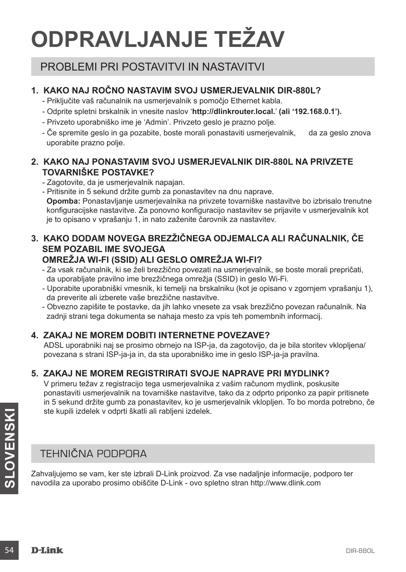# **ODPRAVLJANJE TEŽAV**

## PROBLEMI PRI POSTAVITVI IN NASTAVITVI

#### **1. KAKO NAJ ročno NASTAVIM SVOJ USMERJEVALNIK DIR-880L?**

- Priključite vaš računalnik na usmerjevalnik s pomočjo Ethernet kabla.
- Odprite spletni brskalnik in vnesite naslov '**http://dlinkrouter.local.**' **(ali '192.168.0.1').**
- Privzeto uporabniško ime je 'Admin'. Privzeto geslo je prazno polje.
- Če spremite geslo in ga pozabite, boste morali ponastaviti usmerjevalnik, da za geslo znova uporabite prazno polje.

#### **2. KAKO NAJ PONASTAVIM SVOJ USMERJEVALNIK DIR-880L NA PRIVZETE TOVARNIŠKE POSTAVKE?**

- Zagotovite, da je usmerjevalnik napajan.
- Pritisnite in 5 sekund držite gumb za ponastavitev na dnu naprave. **Opomba:** Ponastavljanje usmerjevalnika na privzete tovarniške nastavitve bo izbrisalo trenutne konfiguracijske nastavitve. Za ponovno konfiguracijo nastavitev se prijavite v usmerjevalnik kot je to opisano v vprašanju 1, in nato zaženite čarovnik za nastavitev.

#### **3. KAKO DODAM NOVEGA BREZŽIČNEGA ODJEMALCA ALI RAČUNALNIK, ČE SEM POZABIL IME SVOJEGA OMREŽJA WI-FI (SSID) ALI GESLO OMREŽJA WI-FI?**

- Za vsak računalnik, ki se želi brezžično povezati na usmerjevalnik, se boste morali prepričati,
- da uporabljate pravilno ime brezžičnega omrežja (SSID) in geslo Wi-Fi.
- Uporabite uporabniški vmesnik, ki temelji na brskalniku (kot je opisano v zgornjem vprašanju 1), da preverite ali izberete vaše brezžične nastavitve.
- Obvezno zapišite te postavke, da jih lahko vnesete za vsak brezžično povezan računalnik. Na zadnji strani tega dokumenta se nahaja mesto za vpis teh pomembnih informacij.

#### **4. ZAKAJ NE MOREM DOBITI INTERNETNE POVEZAVE?**

ADSL uporabniki naj se prosimo obrnejo na ISP-ja, da zagotovijo, da je bila storitev vklopljena/ povezana s strani ISP-ja-ja in, da sta uporabniško ime in geslo ISP-ja-ja pravilna.

#### **5. ZAKAJ NE MOREM REGISTRIRATI SVOJE NAPRAVE PRI MYDLINK?**

V primeru težav z registracijo tega usmerjevalnika z vašim računom mydlink, poskusite ponastaviti usmerjevalnik na tovarniške nastavitve, tako da z odprto priponko za papir pritisnete in 5 sekund držite gumb za ponastavitev, ko je usmerjevalnik vklopljen. To bo morda potrebno, če ste kupili izdelek v odprti škatli ali rabljeni izdelek.

### TEHNIČNA PODPORA

ste kupili izdelek v odprti skatli ali rabljeni izdelek.<br> **SLOVENTEHNIČNA PODPORA**<br>
TEHNIČNA PODPORA<br>
Zahvaljujemo se vam, ker ste izbrali D-Link proizvod. Za vse nadaljnje informacije, podporo ter<br>
navodila za uporabo pro Zahvaljujemo se vam, ker ste izbrali D-Link proizvod. Za vse nadaljnje informacije, podporo ter navodila za uporabo prosimo obiščite D-Link - ovo spletno stran http://www.dlink.com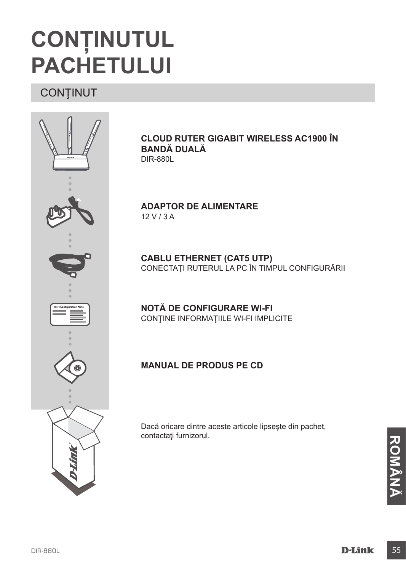## **CONŢINUTUL PACHETULUI**

## **CONȚINUT**



**CLOUD Ruter Gigabit Wireless AC1900 în bandă duală**  DIR-880L

**ADAPTOR DE ALIMENTARE** 12 V / 3 A

**CABLU ETHERNET (CAT5 UTP)** CONECTAŢI RUTERUL LA PC ÎN TIMPUL CONFIGURĂRII

**NOTĂ DE CONFIGURARE WI-FI** CONŢINE INFORMAŢIILE WI-FI IMPLICITE

#### **Manual de produs pe CD**

Dacă oricare dintre aceste articole lipseşte din pachet, contactaţi furnizorul.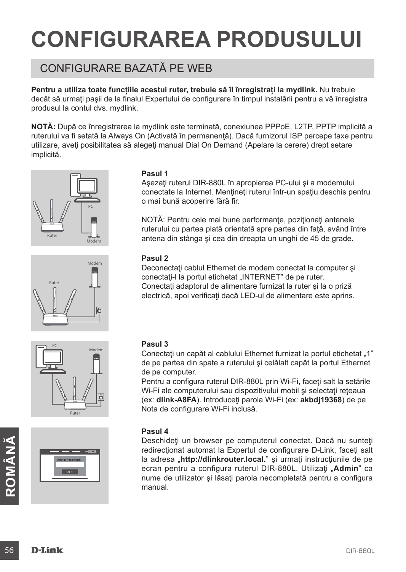# **CONFIGURAREA PRODUSULUI**

## CONFIGURARE BAZATĂ PE WEB

Pentru a utiliza toate funcțiile acestui ruter, trebuie să îl înregistrați la mydlink. Nu trebuie decât să urmați pașii de la finalul Expertului de configurare în timpul instalării pentru a vă înregistra produsul la contul dvs. mydlink.

**NOTĂ:** După ce înregistrarea la mydlink este terminată, conexiunea PPPoE, L2TP, PPTP implicită a ruterului va fi setată la Always On (Activată în permanență). Dacă furnizorul ISP percepe taxe pentru utilizare, aveti posibilitatea să alegeți manual Dial On Demand (Apelare la cerere) drept setare implicită.







**Admin Password:**

#### **Pasul 1**

Asezati ruterul DIR-880L în apropierea PC-ului și a modemului conectate la Internet. Menţineţi ruterul într-un spaţiu deschis pentru o mai bună acoperire fără fir.

NOTĂ: Pentru cele mai bune performanțe, poziționați antenele ruterului cu partea plată orientată spre partea din faţă, având între antena din stânga şi cea din dreapta un unghi de 45 de grade.

#### **Pasul 2**

Deconectaţi cablul Ethernet de modem conectat la computer şi conectați-l la portul etichetat "INTERNET" de pe ruter. Conectaţi adaptorul de alimentare furnizat la ruter şi la o priză electrică, apoi verificaţi dacă LED-ul de alimentare este aprins.

#### **Pasul 3**

Conectati un capăt al cablului Ethernet furnizat la portul etichetat "1" de pe partea din spate a ruterului şi celălalt capăt la portul Ethernet de pe computer.

Pentru a configura ruterul DIR-880L prin Wi-Fi, faceți salt la setările Wi-Fi ale computerului sau dispozitivului mobil și selectați rețeaua (ex: **dlink-A8FA**). Introduceţi parola Wi-Fi (ex: **akbdj19368**) de pe Nota de configurare Wi-Fi inclusă.

#### **Pasul 4**

Deschideți un browser pe computerul conectat. Dacă nu sunteți redirecționat automat la Expertul de configurare D-Link, faceți salt la adresa "http://dlinkrouter.local." și urmați instrucțiunile de pe ecran pentru a configu Deschideți un browser pe computerul conectat. Dacă nu sunteți redirectionat automat la Expertul de configurare D-Link, faceti salt la adresa .**http://dlinkrouter.local.**" si urmati instructiunile de pe ecran pentru a configura ruterul DIR-880L. Utilizati "Admin" ca nume de utilizator și lăsați parola necompletată pentru a configura manual.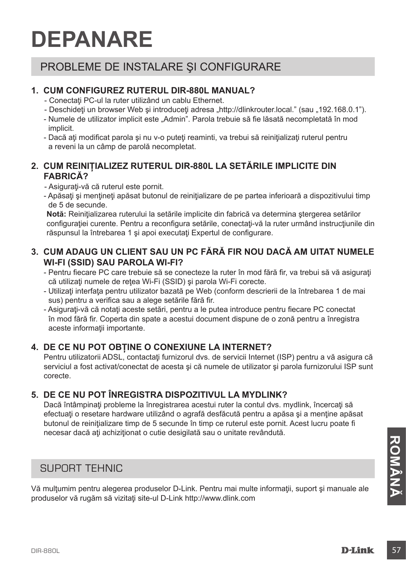## **DEPANARE**

## PROBLEME DE INSTALARE ŞI CONFIGURARE

#### **1. CUM CONFIGUREZ RUTERUL DIR-880L manual?**

- Conectati PC-ul la ruter utilizând un cablu Ethernet.
- Deschideți un browser Web și introduceți adresa "http://dlinkrouter.local." (sau "192.168.0.1").
- Numele de utilizator implicit este "Admin". Parola trebuie să fie lăsată necompletată în mod implicit.
- Dacă aţi modificat parola şi nu v-o puteţi reaminti, va trebui să reiniţializaţi ruterul pentru a reveni la un câmp de parolă necompletat.

#### **2. CUM REINIŢIALIZEZ RUTERUL DIR-880L LA SETĂRILE IMPLICITE DIN FABRICĂ?**

- Asiguraţi-vă că ruterul este pornit.
- Apăsaţi şi menţineţi apăsat butonul de reiniţializare de pe partea inferioară a dispozitivului timp de 5 de secunde.

Notă: Reinițializarea ruterului la setările implicite din fabrică va determina stergerea setărilor configurației curente. Pentru a reconfigura setările, conectați-vă la ruter urmând instrucțiunile din răspunsul la întrebarea 1 şi apoi executaţi Expertul de configurare.

#### **3. CUM ADAUG UN CLIENT SAU UN PC FĂRĂ FIR NOU DACĂ AM UITAT NUMELE WI-FI (SSID) SAU PAROLA WI-FI?**

- Pentru fiecare PC care trebuie să se conecteze la ruter în mod fără fir, va trebui să vă asiguraţi că utilizați numele de rețea Wi-Fi (SSID) și parola Wi-Fi corecte.
- Utilizaţi interfaţa pentru utilizator bazată pe Web (conform descrierii de la întrebarea 1 de mai sus) pentru a verifica sau a alege setările fără fir.

- Asiguraţi-vă că notaţi aceste setări, pentru a le putea introduce pentru fiecare PC conectat în mod fără fir. Coperta din spate a acestui document dispune de o zonă pentru a înregistra aceste informatii importante.

#### **4. DE CE NU POT OBŢINE O CONEXIUNE LA INTERNET?**

Pentru utilizatorii ADSL, contactați furnizorul dvs. de servicii Internet (ISP) pentru a vă asigura că serviciul a fost activat/conectat de acesta şi că numele de utilizator şi parola furnizorului ISP sunt corecte.

### **5. DE CE NU POT ÎNREGISTRA DISPOZITIVUL LA MYDLINK?**

Dacă întâmpinaţi probleme la înregistrarea acestui ruter la contul dvs. mydlink, încercaţi să efectuați o resetare hardware utilizând o agrafă desfăcută pentru a apăsa și a menține apăsat butonul de reinițializare timp de 5 secunde în timp ce ruterul este pornit. Acest lucru poate fi necesar dacă aţi achiziţionat o cutie desigilată sau o unitate revândută.

### SUPORT TEHNIC

SUPORT TEHNIC<br>Vă mulțumim pentru alegerea produselor D-Link. Pentru mai multe informații, suport și manuale ale<br>produselor vă rugăm să vizitați site-ul D-Link http://www.dlink.com<br>DIR-880L<br>**D-Link** 57 Vă mulţumim pentru alegerea produselor D-Link. Pentru mai multe informaţii, suport şi manuale ale produselor vă rugăm să vizitaţi site-ul D-Link http://www.dlink.com